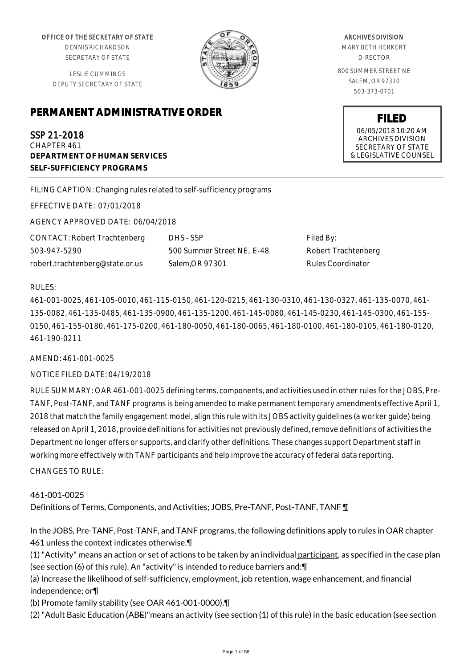OFFICE OF THE SECRETARY OF STATE

DENNIS RICHARDSON SECRETARY OF STATE

LESLIE CUMMINGS DEPUTY SECRETARY OF STATE

# **PERMANENT ADMINISTRATIVE ORDER**

SSP 21-2018 CHAPTER 461 **DEPARTMENT OF HUMAN SERVICES SELF-SUFFICIENCY PROGRAMS**

FILING CAPTION: Changing rules related to self-sufficiency programs

EFFECTIVE DATE: 07/01/2018

AGENCY APPROVED DATE: 06/04/2018

CONTACT: Robert Trachtenberg 503-947-5290 robert.trachtenberg@state.or.us

DHS - SSP 500 Summer Street NE, E-48 Salem,OR 97301

Filed By: Robert Trachtenberg Rules Coordinator

### RULES:

461-001-0025, 461-105-0010, 461-115-0150, 461-120-0215, 461-130-0310, 461-130-0327, 461-135-0070, 461- 135-0082, 461-135-0485, 461-135-0900, 461-135-1200, 461-145-0080, 461-145-0230, 461-145-0300, 461-155- 0150, 461-155-0180, 461-175-0200, 461-180-0050, 461-180-0065, 461-180-0100, 461-180-0105, 461-180-0120, 461-190-0211

#### AMEND: 461-001-0025

### NOTICE FILED DATE: 04/19/2018

RULE SUMMARY: OAR 461-001-0025 defining terms, components, and activities used in other rules for the JOBS, Pre-TANF, Post-TANF, and TANF programs is being amended to make permanent temporary amendments effective April 1, 2018 that match the family engagement model, align this rule with its JOBS activity guidelines (a worker guide) being released on April 1, 2018, provide definitions for activities not previously defined, remove definitions of activities the Department no longer offers or supports, and clarify other definitions. These changes support Department staff in working more effectively with TANF participants and help improve the accuracy of federal data reporting.

CHANGES TO RULE:

### 461-001-0025

Definitions of Terms, Components, and Activities; JOBS, Pre-TANF, Post-TANF, TANF ¶

In the JOBS, Pre-TANF, Post-TANF, and TANF programs, the following definitions apply to rules in OAR chapter 461 unless the context indicates otherwise.¶

(1) "Activity" means an action or set of actions to be taken by an individual participant, as specified in the case plan (see section (6) of this rule). An "activity" is intended to reduce barriers and:¶

(a) Increase the likelihood of self-sufficiency, employment, job retention, wage enhancement, and financial independence; or¶

(b) Promote family stability (see OAR 461-001-0000).¶

(2) "Adult Basic Education (ABE)"means an activity (see section (1) of this rule) in the basic education (see section

#### ARCHIVES DIVISION

MARY BETH HERKERT DIRECTOR

800 SUMMER STREET NE SALEM, OR 97310 503-373-0701

> **FILED** 06/05/2018 10:20 AM ARCHIVES DIVISION SECRETARY OF STATE & LEGISLATIVE COUNSEL

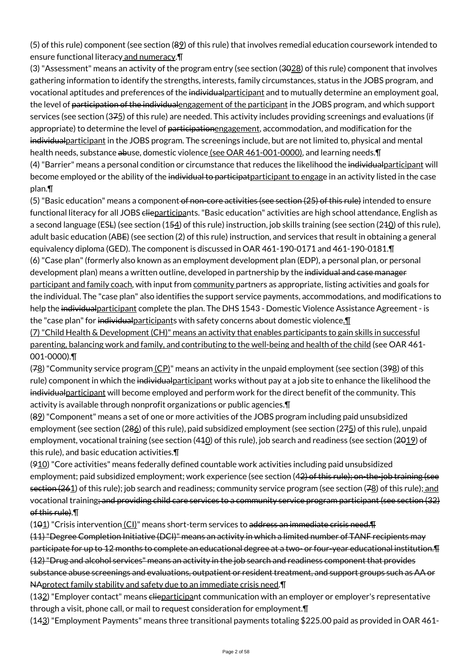(5) of this rule) component (see section (89) of this rule) that involves remedial education coursework intended to ensure functional literacy and numeracy.¶

(3) "Assessment" means an activity of the program entry (see section (3028) of this rule) component that involves gathering information to identify the strengths, interests, family circumstances, status in the JOBS program, and vocational aptitudes and preferences of the individualparticipant and to mutually determine an employment goal, the level of <del>participation of the individual</del> engagement of the participant in the JOBS program, and which support services (see section (375) of this rule) are needed. This activity includes providing screenings and evaluations (if appropriate) to determine the level of participationengagement, accommodation, and modification for the individualparticipant in the JOBS program. The screenings include, but are not limited to, physical and mental health needs, substance abuse, domestic violence (see OAR 461-001-0000), and learning needs. [ (4) "Barrier" means a personal condition or circumstance that reduces the likelihood the individualparticipant will become employed or the ability of the individual to participat participant to engage in an activity listed in the case plan.¶

(5) "Basic education" means a component of non-core activities (see section (25) of this rule) intended to ensure functional literacy for all JOBS clieparticipants. "Basic education" activities are high school attendance, English as a second language (ESL) (see section (154) of this rule) instruction, job skills training (see section (240) of this rule), adult basic education (ABE) (see section (2) of this rule) instruction, and services that result in obtaining a general equivalency diploma (GED). The component is discussed in OAR 461-190-0171 and 461-190-0181.¶ (6) "Case plan" (formerly also known as an employment development plan (EDP), a personal plan, or personal development plan) means a written outline, developed in partnership by the individual and case manager participant and family coach, with input from community partners as appropriate, listing activities and goals for the individual. The "case plan" also identifies the support service payments, accommodations, and modifications to help the individualparticipant complete the plan. The DHS 1543 - Domestic Violence Assistance Agreement - is the "case plan" for individualparticipants with safety concerns about domestic violence. (7) "Child Health & Development (CH)" means an activity that enables participants to gain skills in successful

parenting, balancing work and family, and contributing to the well-being and health of the child (see OAR 461- 001-0000).¶

(78) "Community service program (CP)" means an activity in the unpaid employment (see section (398) of this rule) component in which the individualparticipant works without pay at a job site to enhance the likelihood the individualparticipant will become employed and perform work for the direct benefit of the community. This activity is available through nonprofit organizations or public agencies.¶

(89) "Component" means a set of one or more activities of the JOBS program including paid unsubsidized employment (see section (286) of this rule), paid subsidized employment (see section (275) of this rule), unpaid employment, vocational training (see section  $(440)$  of this rule), job search and readiness (see section  $(2012)$  of this rule), and basic education activities.¶

(910) "Core activities" means federally defined countable work activities including paid unsubsidized employment; paid subsidized employment; work experience (see section (42) of this rule); on-the-job training (see section (261) of this rule); job search and readiness; community service program (see section (78) of this rule); and vocational training; and providing child care services to a community service program participant (see section (32) of this rule).¶

(101) "Crisis intervention (CI)" means short-term services to address an immediate crisis need. T (11) "Degree Completion Initiative (DCI)" means an activity in which a limited number of TANF recipients may participate for up to 12 months to complete an educational degree at a two- or four-year educational institution.¶ (12) "Drug and alcohol services" means an activity in the job search and readiness component that provides substance abuse screenings and evaluations, outpatient or resident treatment, and support groups such as AA or NAprotect family stability and safety due to an immediate crisis need.¶

(132) "Employer contact" means elieparticipant communication with an employer or employer's representative through a visit, phone call, or mail to request consideration for employment.¶

(143) "Employment Payments" means three transitional payments totaling \$225.00 paid as provided in OAR 461-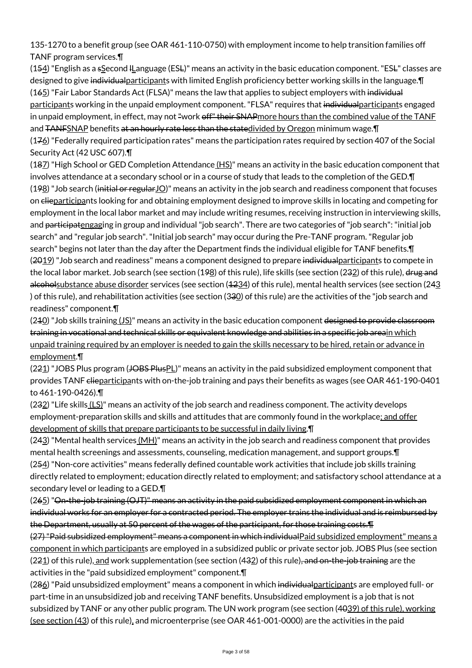135-1270 to a benefit group (see OAR 461-110-0750) with employment income to help transition families off TANF program services.¶

 $(154)$  "English as a sSecond I Language (ESL)" means an activity in the basic education component. "ESL" classes are designed to give individualparticipants with limited English proficiency better working skills in the language.¶ (165) "Fair Labor Standards Act (FLSA)" means the law that applies to subject employers with individual participants working in the unpaid employment component. "FLSA" requires that individual participants engaged in unpaid employment, in effect, may not "work off" their SNAPmore hours than the combined value of the TANF and TANFSNAP benefits at an hourly rate less than the statedivided by Oregon minimum wage. I

 $(176)$  "Federally required participation rates" means the participation rates required by section 407 of the Social Security Act (42 USC 607).¶

(187) "High School or GED Completion Attendance (HS)" means an activity in the basic education component that involves attendance at a secondary school or in a course of study that leads to the completion of the GED.¶  $(198)$  "Job search (initial or regular  $10$ )" means an activity in the job search and readiness component that focuses on elieparticipants looking for and obtaining employment designed to improve skills in locating and competing for employment in the local labor market and may include writing resumes, receiving instruction in interviewing skills, and participatengaging in group and individual "job search". There are two categories of "job search": "initial job search" and "regular job search". "Initial job search" may occur during the Pre-TANF program. "Regular job search" begins not later than the day after the Department finds the individual eligible for TANF benefits.¶ (2019) "Job search and readiness" means a component designed to prepare individual participants to compete in the local labor market. Job search (see section (198) of this rule), life skills (see section (232) of this rule), drug and alcoholsubstance abuse disorder services (see section (4234) of this rule), mental health services (see section (243 ) of this rule), and rehabilitation activities (see section (330) of this rule) are the activities of the "job search and readiness" component.¶

 $(240)$  "Job skills training  $(JS)$ " means an activity in the basic education component designed to provide classroom training in vocational and technical skills or equivalent knowledge and abilities in a specific job areain which unpaid training required by an employer is needed to gain the skills necessary to be hired, retain or advance in employment.¶

(221) "JOBS Plus program (JOBS PlusPL)" means an activity in the paid subsidized employment component that provides TANF elieparticipants with on-the-job training and pays their benefits as wages (see OAR 461-190-0401 to 461-190-0426).¶

 $(232)$  "Life skills  $(LS)$ " means an activity of the job search and readiness component. The activity develops employment-preparation skills and skills and attitudes that are commonly found in the workplace; and offer development of skills that prepare participants to be successful in daily living.¶

 $(243)$  "Mental health services  $(MH)$ " means an activity in the job search and readiness component that provides mental health screenings and assessments, counseling, medication management, and support groups.¶ (254) "Non-core activities" means federally defined countable work activities that include job skills training directly related to employment; education directly related to employment; and satisfactory school attendance at a secondary level or leading to a GED.¶

(265) "On-the-job training (OJT)" means an activity in the paid subsidized employment component in which an individual works for an employer for a contracted period. The employer trains the individual and is reimbursed by the Department, usually at 50 percent of the wages of the participant, for those training costs.¶

(27) "Paid subsidized employment" means a component in which individualPaid subsidized employment" means a component in which participants are employed in a subsidized public or private sector job. JOBS Plus (see section (221) of this rule), and work supplementation (see section (432) of this rule), and on-the-job training are the activities in the "paid subsidized employment" component.¶

(286) "Paid unsubsidized employment" means a component in which individual participants are employed full- or part-time in an unsubsidized job and receiving TANF benefits. Unsubsidized employment is a job that is not subsidized by TANF or any other public program. The UN work program (see section (4039) of this rule), working (see section (43) of this rule), and microenterprise (see OAR 461-001-0000) are the activities in the paid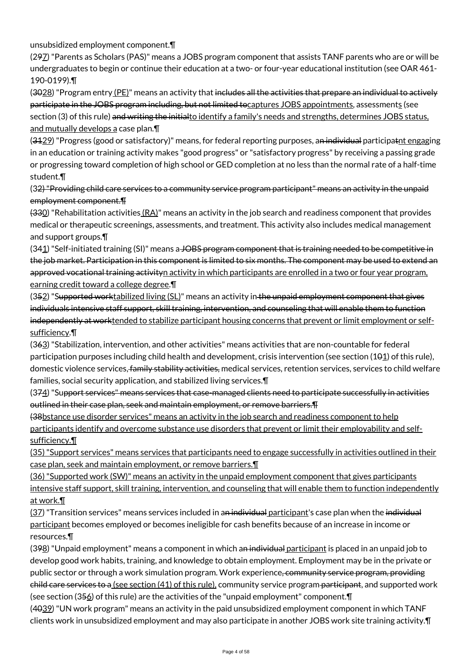unsubsidized employment component.¶

(297) "Parents as Scholars (PAS)" means a JOBS program component that assists TANF parents who are or will be undergraduates to begin or continue their education at a two- or four-year educational institution (see OAR 461- 190-0199).¶

(3028) "Program entry (PE)" means an activity that includes all the activities that prepare an individual to actively participate in the JOBS program including, but not limited tocaptures JOBS appointments, assessments (see section (3) of this rule) and writing the initialto identify a family's needs and strengths, determines JOBS status, and mutually develops a case plan.¶

(3129) "Progress (good or satisfactory)" means, for federal reporting purposes, an individual participatnt engaging in an education or training activity makes "good progress" or "satisfactory progress" by receiving a passing grade or progressing toward completion of high school or GED completion at no less than the normal rate of a half-time student.¶

(32) "Providing child care services to a community service program participant" means an activity in the unpaid employment component.¶

(330) "Rehabilitation activities (RA)" means an activity in the job search and readiness component that provides medical or therapeutic screenings, assessments, and treatment. This activity also includes medical management and support groups.¶

(341) "Self-initiated training (SI)" means a JOBS program component that is training needed to be competitive in the job market. Participation in this component is limited to six months. The component may be used to extend an approved vocational training activityn activity in which participants are enrolled in a two or four year program, earning credit toward a college degree.¶

(352) "Supported worktabilized living (SL)" means an activity in the unpaid employment component that gives individuals intensive staff support, skill training, intervention, and counseling that will enable them to function independently at worktended to stabilize participant housing concerns that prevent or limit employment or selfsufficiency.¶

(363) "Stabilization, intervention, and other activities" means activities that are non-countable for federal participation purposes including child health and development, crisis intervention (see section (101) of this rule), domestic violence services, family stability activities, medical services, retention services, services to child welfare families, social security application, and stabilized living services.¶

(374) "Support services" means services that case-managed clients need to participate successfully in activities outlined in their case plan, seek and maintain employment, or remove barriers.¶

(38bstance use disorder services" means an activity in the job search and readiness component to help participants identify and overcome substance use disorders that prevent or limit their employability and selfsufficiency.¶

(35) "Support services" means services that participants need to engage successfully in activities outlined in their case plan, seek and maintain employment, or remove barriers.¶

(36) "Supported work (SW)" means an activity in the unpaid employment component that gives participants intensive staff support, skill training, intervention, and counseling that will enable them to function independently at work.¶

(37) "Transition services" means services included in a<del>n individual <u>participant</u>'</del>s case plan when the i<del>ndividual</del> participant becomes employed or becomes ineligible for cash benefits because of an increase in income or resources.¶

(398) "Unpaid employment" means a component in which an individual participant is placed in an unpaid job to develop good work habits, training, and knowledge to obtain employment. Employment may be in the private or public sector or through a work simulation program. Work experience, community service program, providing child care services to a (see section (41) of this rule), community service program participant, and supported work (see section (356) of this rule) are the activities of the "unpaid employment" component.¶

(4039) "UN work program" means an activity in the paid unsubsidized employment component in which TANF clients work in unsubsidized employment and may also participate in another JOBS work site training activity.¶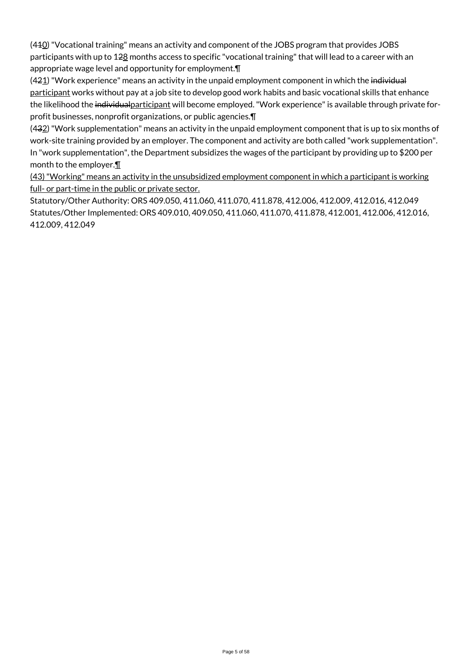(410) "Vocational training" means an activity and component of the JOBS program that provides JOBS participants with up to 128 months access to specific "vocational training" that will lead to a career with an appropriate wage level and opportunity for employment.¶

 $(421)$  "Work experience" means an activity in the unpaid employment component in which the individual participant works without pay at a job site to develop good work habits and basic vocational skills that enhance the likelihood the individualparticipant will become employed. "Work experience" is available through private forprofit businesses, nonprofit organizations, or public agencies.¶

(432) "Work supplementation" means an activity in the unpaid employment component that is up to six months of work-site training provided by an employer. The component and activity are both called "work supplementation". In "work supplementation", the Department subsidizes the wages of the participant by providing up to \$200 per month to the employer.¶

(43) "Working" means an activity in the unsubsidized employment component in which a participant is working full- or part-time in the public or private sector.

Statutory/Other Authority: ORS 409.050, 411.060, 411.070, 411.878, 412.006, 412.009, 412.016, 412.049 Statutes/Other Implemented: ORS 409.010, 409.050, 411.060, 411.070, 411.878, 412.001, 412.006, 412.016, 412.009, 412.049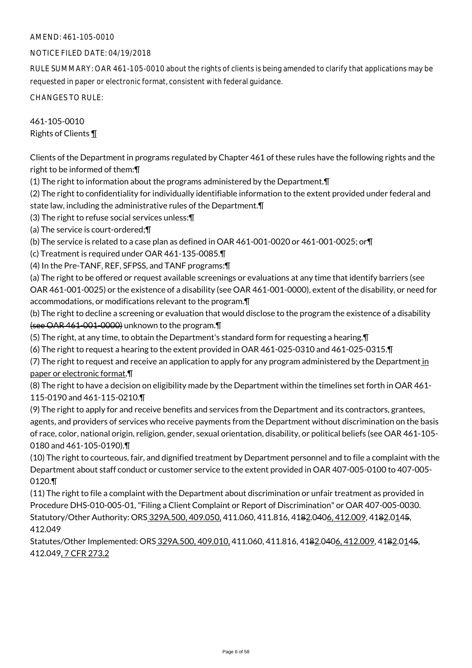### NOTICE FILED DATE: 04/19/2018

RULE SUMMARY: OAR 461-105-0010 about the rights of clients is being amended to clarify that applications may be requested in paper or electronic format, consistent with federal guidance.

CHANGES TO RULE:

461-105-0010 Rights of Clients ¶

Clients of the Department in programs regulated by Chapter 461 of these rules have the following rights and the right to be informed of them:¶

(1) The right to information about the programs administered by the Department.¶

(2) The right to confidentiality for individually identifiable information to the extent provided under federal and

state law, including the administrative rules of the Department.¶

(3) The right to refuse social services unless:¶

(a) The service is court-ordered;¶

(b) The service is related to a case plan as defined in OAR 461-001-0020 or 461-001-0025; or¶

(c) Treatment is required under OAR 461-135-0085.¶

(4) In the Pre-TANF, REF, SFPSS, and TANF programs:¶

(a) The right to be offered or request available screenings or evaluations at any time that identify barriers (see OAR 461-001-0025) or the existence of a disability (see OAR 461-001-0000), extent of the disability, or need for accommodations, or modifications relevant to the program.¶

(b) The right to decline a screening or evaluation that would disclose to the program the existence of a disability (see OAR 461-001-0000) unknown to the program.¶

(5) The right, at any time, to obtain the Department's standard form for requesting a hearing.¶

(6) The right to request a hearing to the extent provided in OAR 461-025-0310 and 461-025-0315.¶

(7) The right to request and receive an application to apply for any program administered by the Department in paper or electronic format.¶

(8) The right to have a decision on eligibility made by the Department within the timelines set forth in OAR 461- 115-0190 and 461-115-0210.¶

(9) The right to apply for and receive benefits and services from the Department and its contractors, grantees, agents, and providers of services who receive payments from the Department without discrimination on the basis of race, color, national origin, religion, gender, sexual orientation, disability, or political beliefs (see OAR 461-105- 0180 and 461-105-0190).¶

(10) The right to courteous, fair, and dignified treatment by Department personnel and to file a complaint with the Department about staff conduct or customer service to the extent provided in OAR 407-005-0100 to 407-005- 0120.¶

(11) The right to file a complaint with the Department about discrimination or unfair treatment as provided in Procedure DHS-010-005-01, "Filing a Client Complaint or Report of Discrimination" or OAR 407-005-0030. Statutory/Other Authority: ORS 329A.500, 409.050, 411.060, 411.816, 4182.0406, 412.009, 4182.0145, 412.049

Statutes/Other Implemented: ORS 329A.500, 409.010, 411.060, 411.816, 4182.0406, 412.009, 4182.0145, 412.049, 7 CFR 273.2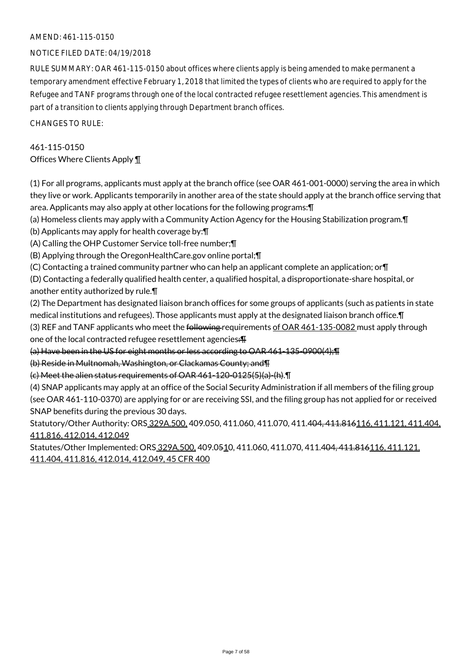### NOTICE FILED DATE: 04/19/2018

RULE SUMMARY: OAR 461-115-0150 about offices where clients apply is being amended to make permanent a temporary amendment effective February 1, 2018 that limited the types of clients who are required to apply for the Refugee and TANF programs through one of the local contracted refugee resettlement agencies. This amendment is part of a transition to clients applying through Department branch offices.

CHANGES TO RULE:

# 461-115-0150 Offices Where Clients Apply ¶

(1) For all programs, applicants must apply at the branch office (see OAR 461-001-0000) serving the area in which they live or work. Applicants temporarily in another area of the state should apply at the branch office serving that area. Applicants may also apply at other locations for the following programs:¶

(a) Homeless clients may apply with a Community Action Agency for the Housing Stabilization program.¶

(b) Applicants may apply for health coverage by:¶

(A) Calling the OHP Customer Service toll-free number;¶

(B) Applying through the OregonHealthCare.gov online portal;¶

(C) Contacting a trained community partner who can help an applicant complete an application; or¶

(D) Contacting a federally qualified health center, a qualified hospital, a disproportionate-share hospital, or another entity authorized by rule.¶

(2) The Department has designated liaison branch offices for some groups of applicants (such as patients in state medical institutions and refugees). Those applicants must apply at the designated liaison branch office.¶ (3) REF and TANF applicants who meet the following requirements of OAR 461-135-0082 must apply through

one of the local contracted refugee resettlement agencies: F

(a) Have been in the US for eight months or less according to OAR 461-135-0900(4);¶

(b) Reside in Multnomah, Washington, or Clackamas County; and¶

(c) Meet the alien status requirements of OAR 461-120-0125(5)(a)-(h).¶

(4) SNAP applicants may apply at an office of the Social Security Administration if all members of the filing group (see OAR 461-110-0370) are applying for or are receiving SSI, and the filing group has not applied for or received SNAP benefits during the previous 30 days.

Statutory/Other Authority: ORS 329A.500, 409.050, 411.060, 411.070, 411.404, 411.816116, 411.121, 411.404, 411.816, 412.014, 412.049

Statutes/Other Implemented: ORS 329A.500, 409.0510, 411.060, 411.070, 411.404, 411.816116, 411.121, 411.404, 411.816, 412.014, 412.049, 45 CFR 400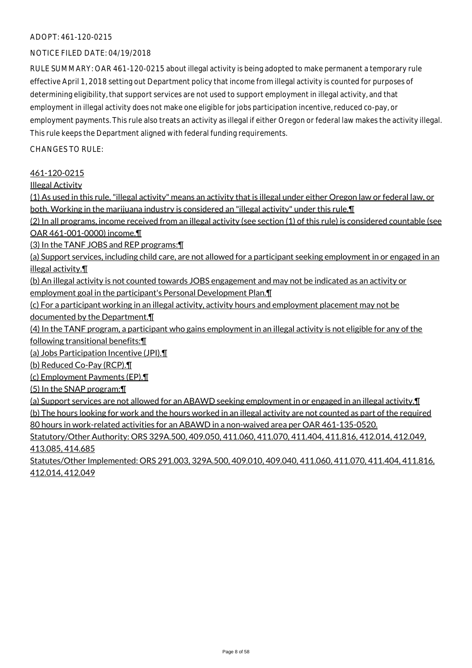### ADOPT: 461-120-0215

#### NOTICE FILED DATE: 04/19/2018

RULE SUMMARY: OAR 461-120-0215 about illegal activity is being adopted to make permanent a temporary rule effective April 1, 2018 setting out Department policy that income from illegal activity is counted for purposes of determining eligibility, that support services are not used to support employment in illegal activity, and that employment in illegal activity does not make one eligible for jobs participation incentive, reduced co-pay, or employment payments. This rule also treats an activity as illegal if either Oregon or federal law makes the activity illegal. This rule keeps the Department aligned with federal funding requirements.

CHANGES TO RULE:

461-120-0215

Illegal Activity

(1) As used in this rule, "illegal activity" means an activity that is illegal under either Oregon law or federal law, or both. Working in the marijuana industry is considered an "illegal activity" under this rule.¶

(2) In all programs, income received from an illegal activity (see section (1) of this rule) is considered countable (see OAR 461-001-0000) income.¶

(3) In the TANF JOBS and REP programs:¶

(a) Support services, including child care, are not allowed for a participant seeking employment in or engaged in an illegal activity.¶

(b) An illegal activity is not counted towards JOBS engagement and may not be indicated as an activity or

employment goal in the participant's Personal Development Plan.¶

(c) For a participant working in an illegal activity, activity hours and employment placement may not be documented by the Department.¶

(4) In the TANF program, a participant who gains employment in an illegal activity is not eligible for any of the following transitional benefits:¶

(a) Jobs Participation Incentive (JPI).¶

(b) Reduced Co-Pay (RCP).¶

(c) Employment Payments (EP).¶

(5) In the SNAP program:¶

(a) Support services are not allowed for an ABAWD seeking employment in or engaged in an illegal activity.¶

(b) The hours looking for work and the hours worked in an illegal activity are not counted as part of the required 80 hours in work-related activities for an ABAWD in a non-waived area per OAR 461-135-0520.

Statutory/Other Authority: ORS 329A.500, 409.050, 411.060, 411.070, 411.404, 411.816, 412.014, 412.049, 413.085, 414.685

Statutes/Other Implemented: ORS 291.003, 329A.500, 409.010, 409.040, 411.060, 411.070, 411.404, 411.816, 412.014, 412.049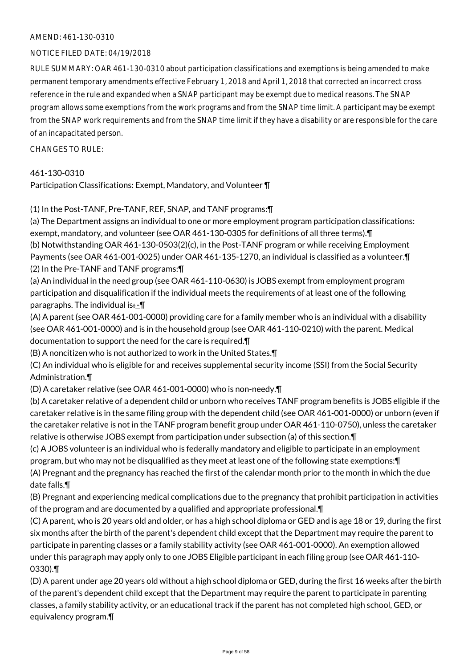### NOTICE FILED DATE: 04/19/2018

RULE SUMMARY: OAR 461-130-0310 about participation classifications and exemptions is being amended to make permanent temporary amendments effective February 1, 2018 and April 1, 2018 that corrected an incorrect cross reference in the rule and expanded when a SNAP participant may be exempt due to medical reasons. The SNAP program allows some exemptions from the work programs and from the SNAP time limit. A participant may be exempt from the SNAP work requirements and from the SNAP time limit if they have a disability or are responsible for the care of an incapacitated person.

CHANGES TO RULE:

### 461-130-0310

Participation Classifications: Exempt, Mandatory, and Volunteer ¶

(1) In the Post-TANF, Pre-TANF, REF, SNAP, and TANF programs:¶

(a) The Department assigns an individual to one or more employment program participation classifications: exempt, mandatory, and volunteer (see OAR 461-130-0305 for definitions of all three terms).¶ (b) Notwithstanding OAR 461-130-0503(2)(c), in the Post-TANF program or while receiving Employment Payments (see OAR 461-001-0025) under OAR 461-135-1270, an individual is classified as a volunteer.¶ (2) In the Pre-TANF and TANF programs:¶

(a) An individual in the need group (see OAR 461-110-0630) is JOBS exempt from employment program participation and disqualification if the individual meets the requirements of at least one of the following paragraphs. The individual is: $-\P$ 

(A) A parent (see OAR 461-001-0000) providing care for a family member who is an individual with a disability (see OAR 461-001-0000) and is in the household group (see OAR 461-110-0210) with the parent. Medical documentation to support the need for the care is required.¶

(B) A noncitizen who is not authorized to work in the United States.¶

(C) An individual who is eligible for and receives supplemental security income (SSI) from the Social Security Administration.¶

(D) A caretaker relative (see OAR 461-001-0000) who is non-needy.¶

(b) A caretaker relative of a dependent child or unborn who receives TANF program benefits is JOBS eligible if the caretaker relative is in the same filing group with the dependent child (see OAR 461-001-0000) or unborn (even if the caretaker relative is not in the TANF program benefit group under OAR 461-110-0750), unless the caretaker relative is otherwise JOBS exempt from participation under subsection (a) of this section.¶

(c) A JOBS volunteer is an individual who is federally mandatory and eligible to participate in an employment program, but who may not be disqualified as they meet at least one of the following state exemptions:¶ (A) Pregnant and the pregnancy has reached the first of the calendar month prior to the month in which the due date falls.¶

(B) Pregnant and experiencing medical complications due to the pregnancy that prohibit participation in activities of the program and are documented by a qualified and appropriate professional.¶

(C) A parent, who is 20 years old and older, or has a high school diploma or GED and is age 18 or 19, during the first six months after the birth of the parent's dependent child except that the Department may require the parent to participate in parenting classes or a family stability activity (see OAR 461-001-0000). An exemption allowed under this paragraph may apply only to one JOBS Eligible participant in each filing group (see OAR 461-110- 0330).¶

(D) A parent under age 20 years old without a high school diploma or GED, during the first 16 weeks after the birth of the parent's dependent child except that the Department may require the parent to participate in parenting classes, a family stability activity, or an educational track if the parent has not completed high school, GED, or equivalency program.¶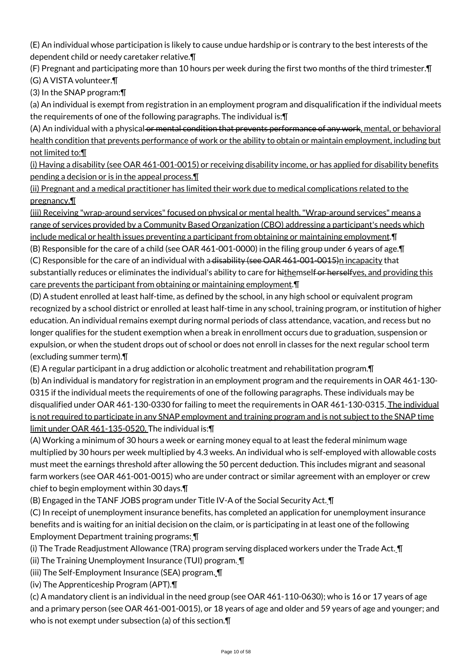(E) An individual whose participation is likely to cause undue hardship or is contrary to the best interests of the dependent child or needy caretaker relative.¶

(F) Pregnant and participating more than 10 hours per week during the first two months of the third trimester.¶ (G) A VISTA volunteer.¶

(3) In the SNAP program:¶

(a) An individual is exempt from registration in an employment program and disqualification if the individual meets the requirements of one of the following paragraphs. The individual is:¶

(A) An individual with a physical or mental condition that prevents performance of any work, mental, or behavioral health condition that prevents performance of work or the ability to obtain or maintain employment, including but not limited to:¶

(i) Having a disability (see OAR 461-001-0015) or receiving disability income, or has applied for disability benefits pending a decision or is in the appeal process.¶

(ii) Pregnant and a medical practitioner has limited their work due to medical complications related to the pregnancy.¶

(iii) Receiving "wrap-around services" focused on physical or mental health. "Wrap-around services" means a range of services provided by a Community Based Organization (CBO) addressing a participant's needs which include medical or health issues preventing a participant from obtaining or maintaining employment.¶

(B) Responsible for the care of a child (see OAR 461-001-0000) in the filing group under 6 years of age.¶ (C) Responsible for the care of an individual with a disability (see OAR 461-001-0015)n incapacity that substantially reduces or eliminates the individual's ability to care for hithemself or herselfves, and providing this

care prevents the participant from obtaining or maintaining employment.¶

(D) A student enrolled at least half-time, as defined by the school, in any high school or equivalent program recognized by a school district or enrolled at least half-time in any school, training program, or institution of higher education. An individual remains exempt during normal periods of class attendance, vacation, and recess but no longer qualifies for the student exemption when a break in enrollment occurs due to graduation, suspension or expulsion, or when the student drops out of school or does not enroll in classes for the next regular school term (excluding summer term).¶

(E) A regular participant in a drug addiction or alcoholic treatment and rehabilitation program.¶

(b) An individual is mandatory for registration in an employment program and the requirements in OAR 461-130- 0315 if the individual meets the requirements of one of the following paragraphs. These individuals may be disqualified under OAR 461-130-0330 for failing to meet the requirements in OAR 461-130-0315. The individual is not required to participate in any SNAP employment and training program and is not subject to the SNAP time limit under OAR 461-135-0520. The individual is:¶

(A) Working a minimum of 30 hours a week or earning money equal to at least the federal minimum wage multiplied by 30 hours per week multiplied by 4.3 weeks. An individual who is self-employed with allowable costs must meet the earnings threshold after allowing the 50 percent deduction. This includes migrant and seasonal farm workers (see OAR 461-001-0015) who are under contract or similar agreement with an employer or crew chief to begin employment within 30 days.¶

(B) Engaged in the TANF JOBS program under Title IV-A of the Social Security Act. ¶

(C) In receipt of unemployment insurance benefits, has completed an application for unemployment insurance benefits and is waiting for an initial decision on the claim, or is participating in at least one of the following Employment Department training programs: ¶

(i) The Trade Readjustment Allowance (TRA) program serving displaced workers under the Trade Act. ¶

(ii) The Training Unemployment Insurance (TUI) program. ¶

(iii) The Self-Employment Insurance (SEA) program. ¶

(iv) The Apprenticeship Program (APT).¶

(c) A mandatory client is an individual in the need group (see OAR 461-110-0630); who is 16 or 17 years of age and a primary person (see OAR 461-001-0015), or 18 years of age and older and 59 years of age and younger; and who is not exempt under subsection (a) of this section.¶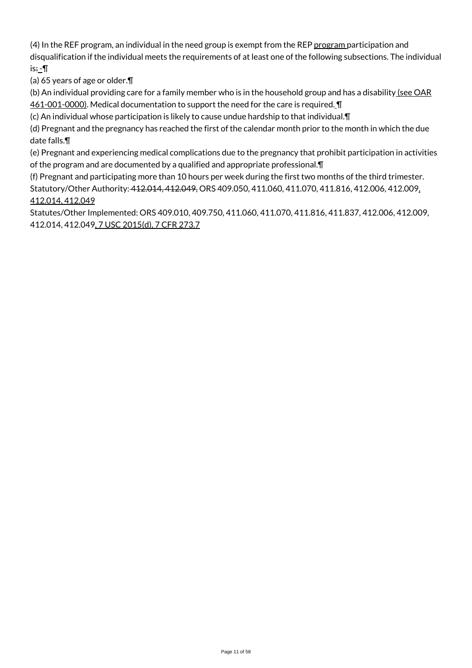(4) In the REF program, an individual in the need group is exempt from the REP program participation and disqualification if the individual meets the requirements of at least one of the following subsections. The individual is÷\_¶

(a) 65 years of age or older.¶

(b) An individual providing care for a family member who is in the household group and has a disability (see OAR 461-001-0000). Medical documentation to support the need for the care is required. I

(c) An individual whose participation is likely to cause undue hardship to that individual.¶

(d) Pregnant and the pregnancy has reached the first of the calendar month prior to the month in which the due date falls.¶

(e) Pregnant and experiencing medical complications due to the pregnancy that prohibit participation in activities of the program and are documented by a qualified and appropriate professional.¶

(f) Pregnant and participating more than 10 hours per week during the first two months of the third trimester. Statutory/Other Authority: 412.014, 412.049, ORS 409.050, 411.060, 411.070, 411.816, 412.006, 412.009, 412.014, 412.049

Statutes/Other Implemented: ORS 409.010, 409.750, 411.060, 411.070, 411.816, 411.837, 412.006, 412.009, 412.014, 412.049, 7 USC 2015(d), 7 CFR 273.7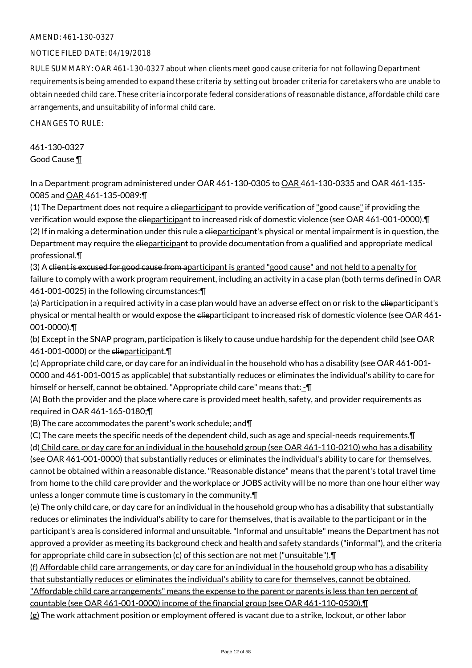### NOTICE FILED DATE: 04/19/2018

RULE SUMMARY: OAR 461-130-0327 about when clients meet good cause criteria for not following Department requirements is being amended to expand these criteria by setting out broader criteria for caretakers who are unable to obtain needed child care. These criteria incorporate federal considerations of reasonable distance, affordable child care arrangements, and unsuitability of informal child care.

CHANGES TO RULE:

461-130-0327 Good Cause ¶

In a Department program administered under OAR 461-130-0305 to OAR 461-130-0335 and OAR 461-135- 0085 and OAR 461-135-0089:¶

(1) The Department does not require a clieparticipant to provide verification of "good cause" if providing the verification would expose the clieparticipant to increased risk of domestic violence (see OAR 461-001-0000).¶  $(2)$  If in making a determination under this rule a elieparticipant's physical or mental impairment is in question, the Department may require the elieparticipant to provide documentation from a qualified and appropriate medical professional.¶

(3) A client is excused for good cause from aparticipant is granted "good cause" and not held to a penalty for failure to comply with a <u>work program requirement</u>, including an activity in a case plan (both terms defined in OAR 461-001-0025) in the following circumstances:¶

(a) Participation in a required activity in a case plan would have an adverse effect on or risk to the elieparticipant's physical or mental health or would expose the elieparticipant to increased risk of domestic violence (see OAR 461-001-0000).¶

(b) Except in the SNAP program, participation is likely to cause undue hardship for the dependent child (see OAR 461-001-0000) or the elieparticipant.

(c) Appropriate child care, or day care for an individual in the household who has a disability (see OAR 461-001- 0000 and 461-001-0015 as applicable) that substantially reduces or eliminates the individual's ability to care for himself or herself, cannot be obtained. "Appropriate child care" means that: - T

(A) Both the provider and the place where care is provided meet health, safety, and provider requirements as required in OAR 461-165-0180;¶

(B) The care accommodates the parent's work schedule; and¶

(C) The care meets the specific needs of the dependent child, such as age and special-needs requirements.¶ (d) Child care, or day care for an individual in the household group (see OAR 461-110-0210) who has a disability (see OAR 461-001-0000) that substantially reduces or eliminates the individual's ability to care for themselves, cannot be obtained within a reasonable distance. "Reasonable distance" means that the parent's total travel time from home to the child care provider and the workplace or JOBS activity will be no more than one hour either way unless a longer commute time is customary in the community.¶

(e) The only child care, or day care for an individual in the household group who has a disability that substantially reduces or eliminates the individual's ability to care for themselves, that is available to the participant or in the participant's area is considered informal and unsuitable. "Informal and unsuitable" means the Department has not approved a provider as meeting its background check and health and safety standards ("informal"), and the criteria for appropriate child care in subsection (c) of this section are not met ("unsuitable").¶

(f) Affordable child care arrangements, or day care for an individual in the household group who has a disability that substantially reduces or eliminates the individual's ability to care for themselves, cannot be obtained. "Affordable child care arrangements" means the expense to the parent or parents is less than ten percent of countable (see OAR 461-001-0000) income of the financial group (see OAR 461-110-0530).¶ (g) The work attachment position or employment offered is vacant due to a strike, lockout, or other labor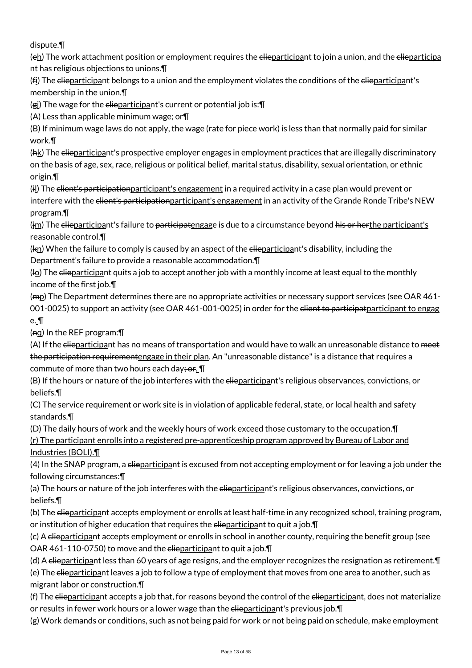dispute.¶

(eh) The work attachment position or employment requires the elieparticipant to join a union, and the elieparticipa nt has religious objections to unions.¶

(fi) The elieparticipant belongs to a union and the employment violates the conditions of the elieparticipant's membership in the union.¶

(gi) The wage for the elieparticipant's current or potential job is: []

(A) Less than applicable minimum wage; or¶

(B) If minimum wage laws do not apply, the wage (rate for piece work) is less than that normally paid for similar work.¶

(hk) The clieparticipant's prospective employer engages in employment practices that are illegally discriminatory on the basis of age, sex, race, religious or political belief, marital status, disability, sexual orientation, or ethnic origin.¶

(il) The client's participationparticipant's engagement in a required activity in a case plan would prevent or interfere with the client's participation participant's engagement in an activity of the Grande Ronde Tribe's NEW program.¶

(im) The clieparticipant's failure to participatengage is due to a circumstance beyond his or herthe participant's reasonable control.¶

(kn) When the failure to comply is caused by an aspect of the elieparticipant's disability, including the Department's failure to provide a reasonable accommodation.¶

 $(h_2)$  The elieparticipant quits a job to accept another job with a monthly income at least equal to the monthly income of the first job.¶

 $(m<sub>B</sub>)$  The Department determines there are no appropriate activities or necessary support services (see OAR 461-001-0025) to support an activity (see OAR 461-001-0025) in order for the elient to participat participant to engag e. ¶

 $(nq)$  In the REF program:  $\P$ 

(A) If the elieparticipant has no means of transportation and would have to walk an unreasonable distance to <del>meet</del> the participation requirementengage in their plan. An "unreasonable distance" is a distance that requires a commute of more than two hours each day; or. I

(B) If the hours or nature of the job interferes with the elieparticipant's religious observances, convictions, or beliefs.¶

(C) The service requirement or work site is in violation of applicable federal, state, or local health and safety standards.¶

(D) The daily hours of work and the weekly hours of work exceed those customary to the occupation.¶

(r) The participant enrolls into a registered pre-apprenticeship program approved by Bureau of Labor and Industries (BOLI).¶

(4) In the SNAP program, a <del>clie</del>participant is excused from not accepting employment or for leaving a job under the following circumstances:¶

(a) The hours or nature of the job interferes with the elieparticipant's religious observances, convictions, or beliefs.¶

(b) The elieparticipant accepts employment or enrolls at least half-time in any recognized school, training program, or institution of higher education that requires the elieparticipant to quit a job. [1]

(c) A clieparticipant accepts employment or enrolls in school in another county, requiring the benefit group (see OAR 461-110-0750) to move and the elieparticipant to quit a job. T

(d) A clieparticipant less than 60 years of age resigns, and the employer recognizes the resignation as retirement.¶

(e) The clieparticipant leaves a job to follow a type of employment that moves from one area to another, such as migrant labor or construction.¶

(f) The elieparticipant accepts a job that, for reasons beyond the control of the elieparticipant, does not materialize or results in fewer work hours or a lower wage than the elieparticipant's previous job. [1]

(g) Work demands or conditions, such as not being paid for work or not being paid on schedule, make employment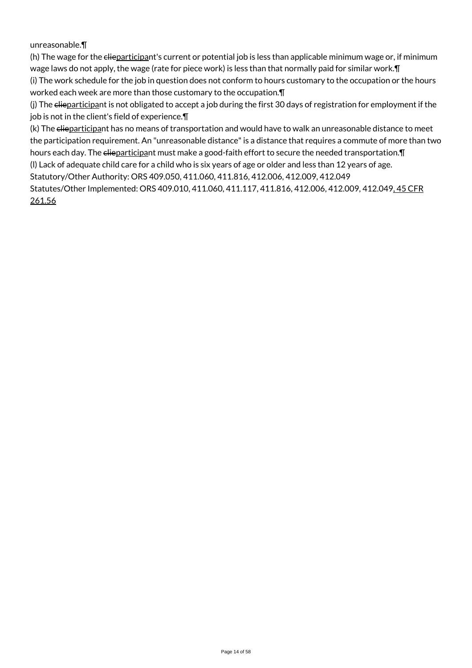### unreasonable.¶

(h) The wage for the elieparticipant's current or potential job is less than applicable minimum wage or, if minimum wage laws do not apply, the wage (rate for piece work) is less than that normally paid for similar work.¶ (i) The work schedule for the job in question does not conform to hours customary to the occupation or the hours

worked each week are more than those customary to the occupation.¶

(j) The elieparticipant is not obligated to accept a job during the first 30 days of registration for employment if the job is not in the client's field of experience.¶

(k) The elieparticipant has no means of transportation and would have to walk an unreasonable distance to meet the participation requirement. An "unreasonable distance" is a distance that requires a commute of more than two hours each day. The elieparticipant must make a good-faith effort to secure the needed transportation. In

(l) Lack of adequate child care for a child who is six years of age or older and less than 12 years of age.

Statutory/Other Authority: ORS 409.050, 411.060, 411.816, 412.006, 412.009, 412.049

Statutes/Other Implemented: ORS 409.010, 411.060, 411.117, 411.816, 412.006, 412.009, 412.049, 45 CFR 261.56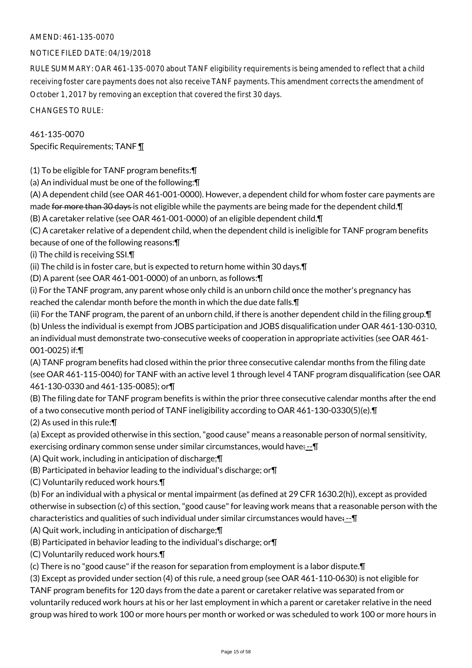### NOTICE FILED DATE: 04/19/2018

RULE SUMMARY: OAR 461-135-0070 about TANF eligibility requirements is being amended to reflect that a child receiving foster care payments does not also receive TANF payments. This amendment corrects the amendment of October 1, 2017 by removing an exception that covered the first 30 days.

CHANGES TO RULE:

461-135-0070 Specific Requirements; TANF ¶

(1) To be eligible for TANF program benefits:¶

(a) An individual must be one of the following:¶

(A) A dependent child (see OAR 461-001-0000). However, a dependent child for whom foster care payments are made for more than 30 days is not eligible while the payments are being made for the dependent child. The match (B) A caretaker relative (see OAR 461-001-0000) of an eligible dependent child.¶

(C) A caretaker relative of a dependent child, when the dependent child is ineligible for TANF program benefits

because of one of the following reasons:¶

(i) The child is receiving SSI.¶

(ii) The child is in foster care, but is expected to return home within 30 days.¶

(D) A parent (see OAR 461-001-0000) of an unborn, as follows:¶

(i) For the TANF program, any parent whose only child is an unborn child once the mother's pregnancy has reached the calendar month before the month in which the due date falls.¶

(ii) For the TANF program, the parent of an unborn child, if there is another dependent child in the filing group.¶ (b) Unless the individual is exempt from JOBS participation and JOBS disqualification under OAR 461-130-0310, an individual must demonstrate two-consecutive weeks of cooperation in appropriate activities (see OAR 461- 001-0025) if:¶

(A) TANF program benefits had closed within the prior three consecutive calendar months from the filing date (see OAR 461-115-0040) for TANF with an active level 1 through level 4 TANF program disqualification (see OAR 461-130-0330 and 461-135-0085); or¶

(B) The filing date for TANF program benefits is within the prior three consecutive calendar months after the end of a two consecutive month period of TANF ineligibility according to OAR 461-130-0330(5)(e).¶ (2) As used in this rule:¶

(a) Except as provided otherwise in this section, "good cause" means a reasonable person of normal sensitivity, exercising ordinary common sense under similar circumstances, would have:-- \[

(A) Quit work, including in anticipation of discharge;¶

(B) Participated in behavior leading to the individual's discharge; or¶

(C) Voluntarily reduced work hours.¶

(b) For an individual with a physical or mental impairment (as defined at 29 CFR 1630.2(h)), except as provided otherwise in subsection (c) of this section, "good cause" for leaving work means that a reasonable person with the characteristics and qualities of such individual under similar circumstances would have: --¶

(A) Quit work, including in anticipation of discharge;¶

(B) Participated in behavior leading to the individual's discharge; or¶

(C) Voluntarily reduced work hours.¶

(c) There is no "good cause" if the reason for separation from employment is a labor dispute.¶

(3) Except as provided under section (4) of this rule, a need group (see OAR 461-110-0630) is not eligible for

TANF program benefits for 120 days from the date a parent or caretaker relative was separated from or voluntarily reduced work hours at his or her last employment in which a parent or caretaker relative in the need group was hired to work 100 or more hours per month or worked or was scheduled to work 100 or more hours in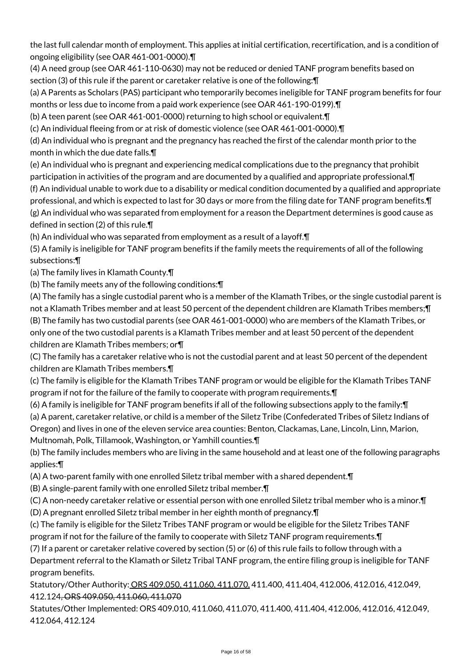the last full calendar month of employment. This applies at initial certification, recertification, and is a condition of ongoing eligibility (see OAR 461-001-0000).¶

(4) A need group (see OAR 461-110-0630) may not be reduced or denied TANF program benefits based on section (3) of this rule if the parent or caretaker relative is one of the following:¶

(a) A Parents as Scholars (PAS) participant who temporarily becomes ineligible for TANF program benefits for four months or less due to income from a paid work experience (see OAR 461-190-0199).¶

(b) A teen parent (see OAR 461-001-0000) returning to high school or equivalent.¶

(c) An individual fleeing from or at risk of domestic violence (see OAR 461-001-0000).¶

(d) An individual who is pregnant and the pregnancy has reached the first of the calendar month prior to the month in which the due date falls.¶

(e) An individual who is pregnant and experiencing medical complications due to the pregnancy that prohibit participation in activities of the program and are documented by a qualified and appropriate professional.¶ (f) An individual unable to work due to a disability or medical condition documented by a qualified and appropriate professional, and which is expected to last for 30 days or more from the filing date for TANF program benefits.¶ (g) An individual who was separated from employment for a reason the Department determines is good cause as defined in section (2) of this rule.¶

(h) An individual who was separated from employment as a result of a layoff.¶

(5) A family is ineligible for TANF program benefits if the family meets the requirements of all of the following subsections:¶

(a) The family lives in Klamath County.¶

(b) The family meets any of the following conditions:¶

(A) The family has a single custodial parent who is a member of the Klamath Tribes, or the single custodial parent is not a Klamath Tribes member and at least 50 percent of the dependent children are Klamath Tribes members;¶ (B) The family has two custodial parents (see OAR 461-001-0000) who are members of the Klamath Tribes, or only one of the two custodial parents is a Klamath Tribes member and at least 50 percent of the dependent children are Klamath Tribes members; or¶

(C) The family has a caretaker relative who is not the custodial parent and at least 50 percent of the dependent children are Klamath Tribes members.¶

(c) The family is eligible for the Klamath Tribes TANF program or would be eligible for the Klamath Tribes TANF program if not for the failure of the family to cooperate with program requirements.¶

(6) A family is ineligible for TANF program benefits if all of the following subsections apply to the family:¶

(a) A parent, caretaker relative, or child is a member of the Siletz Tribe (Confederated Tribes of Siletz Indians of

Oregon) and lives in one of the eleven service area counties: Benton, Clackamas, Lane, Lincoln, Linn, Marion, Multnomah, Polk, Tillamook, Washington, or Yamhill counties.¶

(b) The family includes members who are living in the same household and at least one of the following paragraphs applies:¶

(A) A two-parent family with one enrolled Siletz tribal member with a shared dependent.¶

(B) A single-parent family with one enrolled Siletz tribal member.¶

(C) A non-needy caretaker relative or essential person with one enrolled Siletz tribal member who is a minor.¶

(D) A pregnant enrolled Siletz tribal member in her eighth month of pregnancy.¶

(c) The family is eligible for the Siletz Tribes TANF program or would be eligible for the Siletz Tribes TANF program if not for the failure of the family to cooperate with Siletz TANF program requirements.¶

(7) If a parent or caretaker relative covered by section (5) or (6) of this rule fails to follow through with a Department referral to the Klamath or Siletz Tribal TANF program, the entire filing group is ineligible for TANF program benefits.

Statutory/Other Authority: ORS 409.050, 411.060, 411.070, 411.400, 411.404, 412.006, 412.016, 412.049, 412.124, ORS 409.050, 411.060, 411.070

Statutes/Other Implemented: ORS 409.010, 411.060, 411.070, 411.400, 411.404, 412.006, 412.016, 412.049, 412.064, 412.124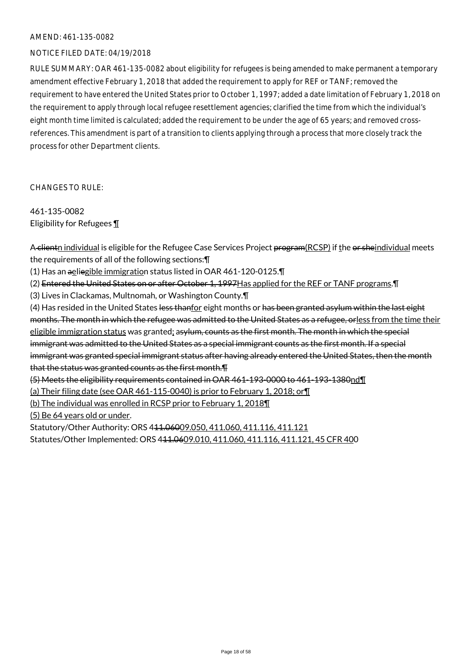### NOTICE FILED DATE: 04/19/2018

RULE SUMMARY: OAR 461-135-0082 about eligibility for refugees is being amended to make permanent a temporary amendment effective February 1, 2018 that added the requirement to apply for REF or TANF; removed the requirement to have entered the United States prior to October 1, 1997; added a date limitation of February 1, 2018 on the requirement to apply through local refugee resettlement agencies; clarified the time from which the individual's eight month time limited is calculated; added the requirement to be under the age of 65 years; and removed crossreferences. This amendment is part of a transition to clients applying through a process that more closely track the process for other Department clients.

CHANGES TO RULE:

461-135-0082 Eligibility for Refugees ¶

A clientn individual is eligible for the Refugee Case Services Project program(RCSP) if the or sheindividual meets the requirements of all of the following sections:¶

(1) Has an aeliegible immigration status listed in OAR 461-120-0125.

(2) Entered the United States on or after October 1, 1997Has applied for the REF or TANF programs. II

(3) Lives in Clackamas, Multnomah, or Washington County.¶

(4) Has resided in the United States less thanfor eight months or has been granted asylum within the last eight months. The month in which the refugee was admitted to the United States as a refugee, orless from the time their eligible immigration status was granted; as ylum, counts as the first month. The month in which the special immigrant was admitted to the United States as a special immigrant counts as the first month. If a special immigrant was granted special immigrant status after having already entered the United States, then the month that the status was granted counts as the first month.¶ (5) Meets the eligibility requirements contained in OAR 461-193-0000 to 461-193-1380nd¶

(a) Their filing date (see OAR 461-115-0040) is prior to February 1, 2018; or¶

(b) The individual was enrolled in RCSP prior to February 1, 2018¶

(5) Be 64 years old or under.

Statutory/Other Authority: ORS 441.06009.050, 411.060, 411.116, 411.121 Statutes/Other Implemented: ORS 411.0609.010, 411.060, 411.116, 411.121, 45 CFR 400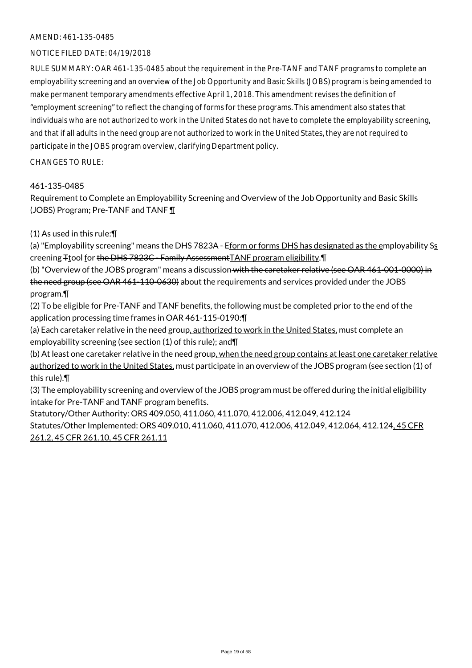### NOTICE FILED DATE: 04/19/2018

RULE SUMMARY: OAR 461-135-0485 about the requirement in the Pre-TANF and TANF programs to complete an employability screening and an overview of the Job Opportunity and Basic Skills (JOBS) program is being amended to make permanent temporary amendments effective April 1, 2018. This amendment revises the definition of "employment screening" to reflect the changing of forms for these programs. This amendment also states that individuals who are not authorized to work in the United States do not have to complete the employability screening, and that if all adults in the need group are not authorized to work in the United States, they are not required to participate in the JOBS program overview, clarifying Department policy.

#### CHANGES TO RULE:

### 461-135-0485

Requirement to Complete an Employability Screening and Overview of the Job Opportunity and Basic Skills (JOBS) Program; Pre-TANF and TANF ¶

### (1) As used in this rule:¶

(a) "Employability screening" means the <del>DHS 7823A - Eform or forms DHS has designated as the employability Ss</del> creening Ttool for the DHS 7823C - Family Assessment TANF program eligibility. T

(b) "Overview of the JOBS program" means a discussion with the caretaker relative (see OAR 461-001-0000) in the need group (see OAR 461-110-0630) about the requirements and services provided under the JOBS program.¶

(2) To be eligible for Pre-TANF and TANF benefits, the following must be completed prior to the end of the application processing time frames in OAR 461-115-0190:¶

(a) Each caretaker relative in the need group, authorized to work in the United States, must complete an employability screening (see section (1) of this rule); and¶

(b) At least one caretaker relative in the need group, when the need group contains at least one caretaker relative authorized to work in the United States, must participate in an overview of the JOBS program (see section (1) of this rule).¶

(3) The employability screening and overview of the JOBS program must be offered during the initial eligibility intake for Pre-TANF and TANF program benefits.

Statutory/Other Authority: ORS 409.050, 411.060, 411.070, 412.006, 412.049, 412.124 Statutes/Other Implemented: ORS 409.010, 411.060, 411.070, 412.006, 412.049, 412.064, 412.124, 45 CFR 261.2, 45 CFR 261.10, 45 CFR 261.11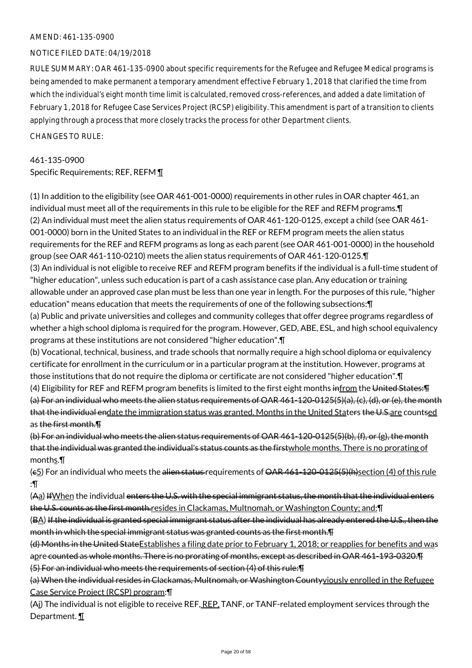### NOTICE FILED DATE: 04/19/2018

RULE SUMMARY: OAR 461-135-0900 about specific requirements for the Refugee and Refugee Medical programs is being amended to make permanent a temporary amendment effective February 1, 2018 that clarified the time from which the individual's eight month time limit is calculated, removed cross-references, and added a date limitation of February 1, 2018 for Refugee Case Services Project (RCSP) eligibility. This amendment is part of a transition to clients applying through a process that more closely tracks the process for other Department clients.

#### $CHANGESTORUIF$

# 461-135-0900 Specific Requirements; REF, REFM ¶

(1) In addition to the eligibility (see OAR 461-001-0000) requirements in other rules in OAR chapter 461, an individual must meet all of the requirements in this rule to be eligible for the REF and REFM programs.¶ (2) An individual must meet the alien status requirements of OAR 461-120-0125, except a child (see OAR 461- 001-0000) born in the United States to an individual in the REF or REFM program meets the alien status requirements for the REF and REFM programs as long as each parent (see OAR 461-001-0000) in the household group (see OAR 461-110-0210) meets the alien status requirements of OAR 461-120-0125.¶ (3) An individual is not eligible to receive REF and REFM program benefits if the individual is a full-time student of "higher education", unless such education is part of a cash assistance case plan. Any education or training allowable under an approved case plan must be less than one year in length. For the purposes of this rule, "higher education" means education that meets the requirements of one of the following subsections:¶ (a) Public and private universities and colleges and community colleges that offer degree programs regardless of whether a high school diploma is required for the program. However, GED, ABE, ESL, and high school equivalency programs at these institutions are not considered "higher education".¶

(b) Vocational, technical, business, and trade schools that normally require a high school diploma or equivalency certificate for enrollment in the curriculum or in a particular program at the institution. However, programs at those institutions that do not require the diploma or certificate are not considered "higher education".¶

(4) Eligibility for REF and REFM program benefits is limited to the first eight months infrom the United States:¶ (a) For an individual who meets the alien status requirements of OAR 461-120-0125(5)(a), (c), (d), or (e), the month that the individual endate the immigration status was granted. Months in the United Staters the U.S.are countsed as the first month.¶

(b) For an individual who meets the alien status requirements of OAR 461-120-0125(5)(b), (f), or (g), the month that the individual was granted the individual's status counts as the firstwhole months. There is no prorating of months.¶

(e5) For an individual who meets the alien status requirements of OAR 461-120-0125(5)(h) section (4) of this rule :¶

 $(A<sub>a</sub>)$  If When the individual enters the U.S. with the special immigrant status, the month that the individual enters the U.S. counts as the first month.resides in Clackamas, Multnomah, or Washington County; and: [7]

(BA) If the individual is granted special immigrant status after the individual has already entered the U.S., then the month in which the special immigrant status was granted counts as the first month.¶

(d) Months in the United StateEstablishes a filing date prior to February 1, 2018; or reapplies for benefits and was apre counted as whole months. There is no prorating of months, except as described in OAR 461-193-0320.¶ (5) For an individual who meets the requirements of section (4) of this rule:¶

(a) When the individual resides in Clackamas, Multnomah, or Washington Countyviously enrolled in the Refugee Case Service Project (RCSP) program:¶

(Ai) The individual is not eligible to receive REF, REP, TANF, or TANF-related employment services through the Department. ¶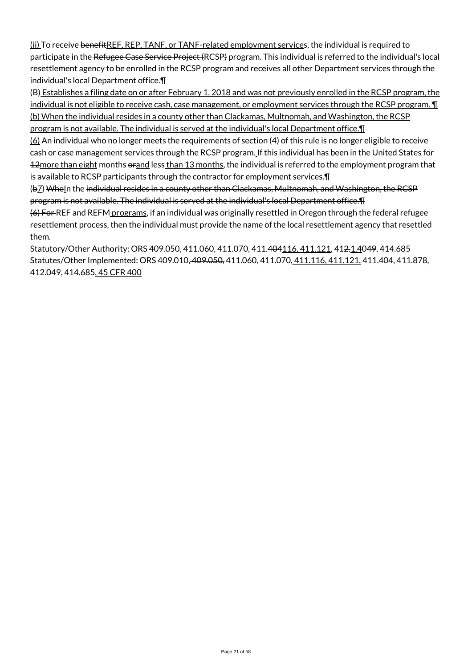(ii) To receive benefitREF, REP, TANF, or TANF-related employment services, the individual is required to participate in the Refugee Case Service Project (RCSP) program. This individual is referred to the individual's local resettlement agency to be enrolled in the RCSP program and receives all other Department services through the individual's local Department office.¶

(B) Establishes a filing date on or after February 1, 2018 and was not previously enrolled in the RCSP program, the individual is not eligible to receive cash, case management, or employment services through the RCSP program. ¶ (b) When the individual resides in a county other than Clackamas, Multnomah, and Washington, the RCSP program is not available. The individual is served at the individual's local Department office.¶

(6) An individual who no longer meets the requirements of section (4) of this rule is no longer eligible to receive cash or case management services through the RCSP program. If this individual has been in the United States for 12more than eight months orand less than 13 months, the individual is referred to the employment program that is available to RCSP participants through the contractor for employment services.¶

(b7) WheIn the individual resides in a county other than Clackamas, Multnomah, and Washington, the RCSP program is not available. The individual is served at the individual's local Department office.¶

(6) For REF and REFM programs, if an individual was originally resettled in Oregon through the federal refugee resettlement process, then the individual must provide the name of the local resettlement agency that resettled them.

Statutory/Other Authority: ORS 409.050, 411.060, 411.070, 411.404116, 411.121, 412.1.4049, 414.685 Statutes/Other Implemented: ORS 409.010, 409.050, 411.060, 411.070, 411.116, 411.121, 411.404, 411.878, 412.049, 414.685, 45 CFR 400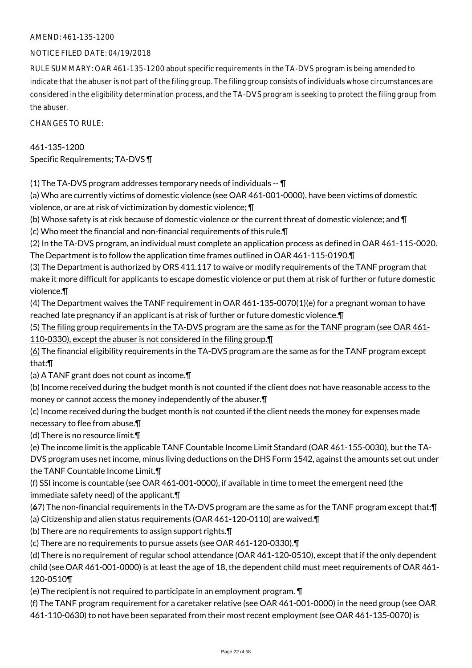### NOTICE FILED DATE: 04/19/2018

RULE SUMMARY: OAR 461-135-1200 about specific requirements in the TA-DVS program is being amended to indicate that the abuser is not part of the filing group. The filing group consists of individuals whose circumstances are considered in the eligibility determination process, and the TA-DVS program is seeking to protect the filing group from the abuser.

CHANGES TO RULE:

# 461-135-1200 Specific Requirements; TA-DVS ¶

(1) The TA-DVS program addresses temporary needs of individuals -- ¶

(a) Who are currently victims of domestic violence (see OAR 461-001-0000), have been victims of domestic violence, or are at risk of victimization by domestic violence; ¶

(b) Whose safety is at risk because of domestic violence or the current threat of domestic violence; and ¶ (c) Who meet the financial and non-financial requirements of this rule.¶

(2) In the TA-DVS program, an individual must complete an application process as defined in OAR 461-115-0020. The Department is to follow the application time frames outlined in OAR 461-115-0190.¶

(3) The Department is authorized by ORS 411.117 to waive or modify requirements of the TANF program that make it more difficult for applicants to escape domestic violence or put them at risk of further or future domestic violence.¶

(4) The Department waives the TANF requirement in OAR 461-135-0070(1)(e) for a pregnant woman to have reached late pregnancy if an applicant is at risk of further or future domestic violence.¶

(5) The filing group requirements in the TA-DVS program are the same as for the TANF program (see OAR 461- 110-0330), except the abuser is not considered in the filing group.¶

(6) The financial eligibility requirements in the TA-DVS program are the same as for the TANF program except that:¶

(a) A TANF grant does not count as income.¶

(b) Income received during the budget month is not counted if the client does not have reasonable access to the money or cannot access the money independently of the abuser.¶

(c) Income received during the budget month is not counted if the client needs the money for expenses made necessary to flee from abuse.¶

(d) There is no resource limit.¶

(e) The income limit is the applicable TANF Countable Income Limit Standard (OAR 461-155-0030), but the TA-

DVS program uses net income, minus living deductions on the DHS Form 1542, against the amounts set out under the TANF Countable Income Limit.¶

(f) SSI income is countable (see OAR 461-001-0000), if available in time to meet the emergent need (the immediate safety need) of the applicant.¶

(67) The non-financial requirements in the TA-DVS program are the same as for the TANF program except that:¶ (a) Citizenship and alien status requirements (OAR 461-120-0110) are waived.¶

(b) There are no requirements to assign support rights.¶

(c) There are no requirements to pursue assets (see OAR 461-120-0330).¶

(d) There is no requirement of regular school attendance (OAR 461-120-0510), except that if the only dependent child (see OAR 461-001-0000) is at least the age of 18, the dependent child must meet requirements of OAR 461- 120-0510¶

(e) The recipient is not required to participate in an employment program. ¶

(f) The TANF program requirement for a caretaker relative (see OAR 461-001-0000) in the need group (see OAR 461-110-0630) to not have been separated from their most recent employment (see OAR 461-135-0070) is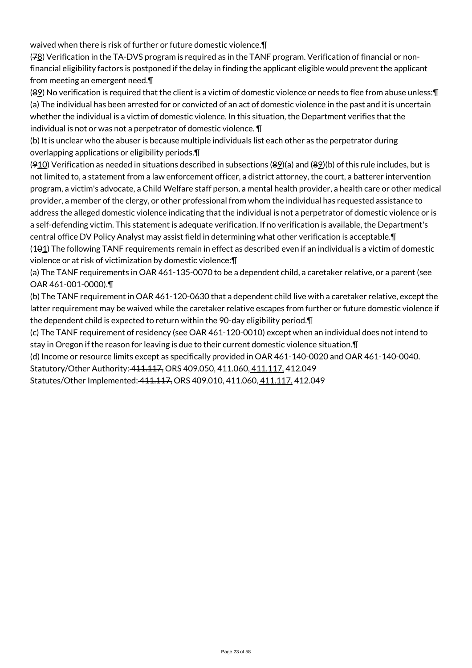waived when there is risk of further or future domestic violence.¶

(78) Verification in the TA-DVS program is required as in the TANF program. Verification of financial or nonfinancial eligibility factors is postponed if the delay in finding the applicant eligible would prevent the applicant from meeting an emergent need.¶

(89) No verification is required that the client is a victim of domestic violence or needs to flee from abuse unless:¶ (a) The individual has been arrested for or convicted of an act of domestic violence in the past and it is uncertain whether the individual is a victim of domestic violence. In this situation, the Department verifies that the individual is not or was not a perpetrator of domestic violence. ¶

(b) It is unclear who the abuser is because multiple individuals list each other as the perpetrator during overlapping applications or eligibility periods.¶

( $910$ ) Verification as needed in situations described in subsections ( $89$ )(a) and ( $89$ )(b) of this rule includes, but is not limited to, a statement from a law enforcement officer, a district attorney, the court, a batterer intervention program, a victim's advocate, a Child Welfare staff person, a mental health provider, a health care or other medical provider, a member of the clergy, or other professional from whom the individual has requested assistance to address the alleged domestic violence indicating that the individual is not a perpetrator of domestic violence or is a self-defending victim. This statement is adequate verification. If no verification is available, the Department's central office DV Policy Analyst may assist field in determining what other verification is acceptable.¶  $(101)$  The following TANF requirements remain in effect as described even if an individual is a victim of domestic violence or at risk of victimization by domestic violence:¶

(a) The TANF requirements in OAR 461-135-0070 to be a dependent child, a caretaker relative, or a parent (see OAR 461-001-0000).¶

(b) The TANF requirement in OAR 461-120-0630 that a dependent child live with a caretaker relative, except the latter requirement may be waived while the caretaker relative escapes from further or future domestic violence if the dependent child is expected to return within the 90-day eligibility period.¶

(c) The TANF requirement of residency (see OAR 461-120-0010) except when an individual does not intend to stay in Oregon if the reason for leaving is due to their current domestic violence situation.¶

(d) Income or resource limits except as specifically provided in OAR 461-140-0020 and OAR 461-140-0040.

Statutory/Other Authority: 411.117, ORS 409.050, 411.060, 411.117, 412.049

Statutes/Other Implemented: 411.117, ORS 409.010, 411.060, 411.117, 412.049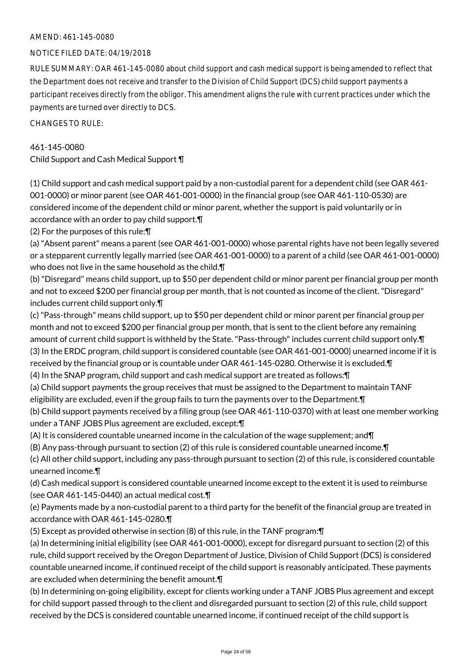### NOTICE FILED DATE: 04/19/2018

RULE SUMMARY: OAR 461-145-0080 about child support and cash medical support is being amended to reflect that the Department does not receive and transfer to the Division of Child Support (DCS) child support payments a participant receives directly from the obligor. This amendment aligns the rule with current practices under which the payments are turned over directly to DCS.

CHANGES TO RULE:

### 461-145-0080

Child Support and Cash Medical Support ¶

(1) Child support and cash medical support paid by a non-custodial parent for a dependent child (see OAR 461- 001-0000) or minor parent (see OAR 461-001-0000) in the financial group (see OAR 461-110-0530) are considered income of the dependent child or minor parent, whether the support is paid voluntarily or in accordance with an order to pay child support.¶

(2) For the purposes of this rule:¶

(a) "Absent parent" means a parent (see OAR 461-001-0000) whose parental rights have not been legally severed or a stepparent currently legally married (see OAR 461-001-0000) to a parent of a child (see OAR 461-001-0000) who does not live in the same household as the child.¶

(b) "Disregard" means child support, up to \$50 per dependent child or minor parent per financial group per month and not to exceed \$200 per financial group per month, that is not counted as income of the client. "Disregard" includes current child support only.¶

(c) "Pass-through" means child support, up to \$50 per dependent child or minor parent per financial group per month and not to exceed \$200 per financial group per month, that is sent to the client before any remaining amount of current child support is withheld by the State. "Pass-through" includes current child support only.¶ (3) In the ERDC program, child support is considered countable (see OAR 461-001-0000) unearned income if it is received by the financial group or is countable under OAR 461-145-0280. Otherwise it is excluded.¶

(4) In the SNAP program, child support and cash medical support are treated as follows:¶

(a) Child support payments the group receives that must be assigned to the Department to maintain TANF eligibility are excluded, even if the group fails to turn the payments over to the Department.¶

(b) Child support payments received by a filing group (see OAR 461-110-0370) with at least one member working under a TANF JOBS Plus agreement are excluded, except:¶

(A) It is considered countable unearned income in the calculation of the wage supplement; and¶

(B) Any pass-through pursuant to section (2) of this rule is considered countable unearned income.¶

(c) All other child support, including any pass-through pursuant to section (2) of this rule, is considered countable unearned income.¶

(d) Cash medical support is considered countable unearned income except to the extent it is used to reimburse (see OAR 461-145-0440) an actual medical cost.¶

(e) Payments made by a non-custodial parent to a third party for the benefit of the financial group are treated in accordance with OAR 461-145-0280.¶

(5) Except as provided otherwise in section (8) of this rule, in the TANF program:¶

(a) In determining initial eligibility (see OAR 461-001-0000), except for disregard pursuant to section (2) of this rule, child support received by the Oregon Department of Justice, Division of Child Support (DCS) is considered countable unearned income, if continued receipt of the child support is reasonably anticipated. These payments are excluded when determining the benefit amount.¶

(b) In determining on-going eligibility, except for clients working under a TANF JOBS Plus agreement and except for child support passed through to the client and disregarded pursuant to section (2) of this rule, child support received by the DCS is considered countable unearned income, if continued receipt of the child support is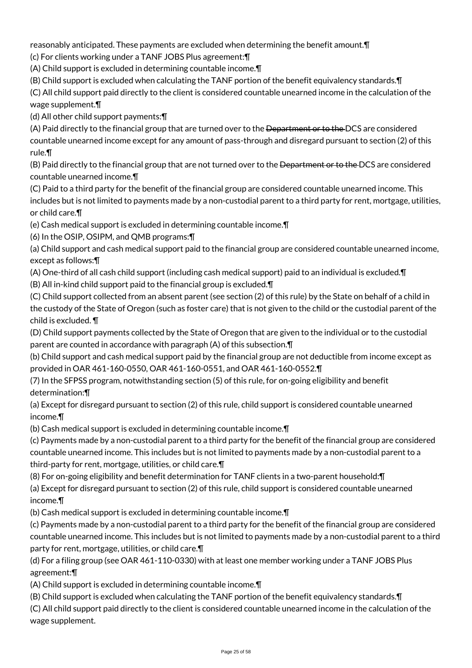reasonably anticipated. These payments are excluded when determining the benefit amount.¶

(c) For clients working under a TANF JOBS Plus agreement:¶

(A) Child support is excluded in determining countable income.¶

(B) Child support is excluded when calculating the TANF portion of the benefit equivalency standards.¶

(C) All child support paid directly to the client is considered countable unearned income in the calculation of the wage supplement.¶

(d) All other child support payments:¶

(A) Paid directly to the financial group that are turned over to the <del>Department or to the DCS</del> are considered countable unearned income except for any amount of pass-through and disregard pursuant to section (2) of this rule.¶

(B) Paid directly to the financial group that are not turned over to the Department or to the DCS are considered countable unearned income.¶

(C) Paid to a third party for the benefit of the financial group are considered countable unearned income. This includes but is not limited to payments made by a non-custodial parent to a third party for rent, mortgage, utilities, or child care.¶

(e) Cash medical support is excluded in determining countable income.¶

(6) In the OSIP, OSIPM, and QMB programs:¶

(a) Child support and cash medical support paid to the financial group are considered countable unearned income, except as follows:¶

(A) One-third of all cash child support (including cash medical support) paid to an individual is excluded.¶

(B) All in-kind child support paid to the financial group is excluded.¶

(C) Child support collected from an absent parent (see section (2) of this rule) by the State on behalf of a child in the custody of the State of Oregon (such as foster care) that is not given to the child or the custodial parent of the child is excluded. ¶

(D) Child support payments collected by the State of Oregon that are given to the individual or to the custodial parent are counted in accordance with paragraph (A) of this subsection.¶

(b) Child support and cash medical support paid by the financial group are not deductible from income except as provided in OAR 461-160-0550, OAR 461-160-0551, and OAR 461-160-0552.¶

(7) In the SFPSS program, notwithstanding section (5) of this rule, for on-going eligibility and benefit determination:¶

(a) Except for disregard pursuant to section (2) of this rule, child support is considered countable unearned income.¶

(b) Cash medical support is excluded in determining countable income.¶

(c) Payments made by a non-custodial parent to a third party for the benefit of the financial group are considered countable unearned income. This includes but is not limited to payments made by a non-custodial parent to a third-party for rent, mortgage, utilities, or child care.¶

(8) For on-going eligibility and benefit determination for TANF clients in a two-parent household:¶

(a) Except for disregard pursuant to section (2) of this rule, child support is considered countable unearned income.¶

(b) Cash medical support is excluded in determining countable income.¶

(c) Payments made by a non-custodial parent to a third party for the benefit of the financial group are considered countable unearned income. This includes but is not limited to payments made by a non-custodial parent to a third party for rent, mortgage, utilities, or child care.¶

(d) For a filing group (see OAR 461-110-0330) with at least one member working under a TANF JOBS Plus agreement:¶

(A) Child support is excluded in determining countable income.¶

(B) Child support is excluded when calculating the TANF portion of the benefit equivalency standards.¶

(C) All child support paid directly to the client is considered countable unearned income in the calculation of the wage supplement.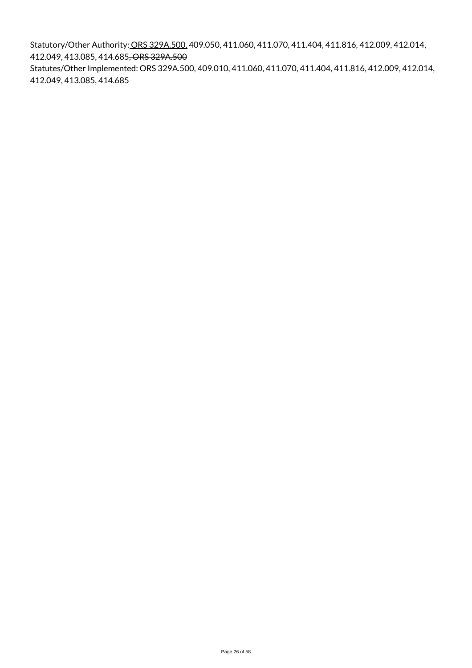Statutory/Other Authority: ORS 329A.500, 409.050, 411.060, 411.070, 411.404, 411.816, 412.009, 412.014, 412.049, 413.085, 414.685, ORS 329A.500 Statutes/Other Implemented: ORS 329A.500, 409.010, 411.060, 411.070, 411.404, 411.816, 412.009, 412.014, 412.049, 413.085, 414.685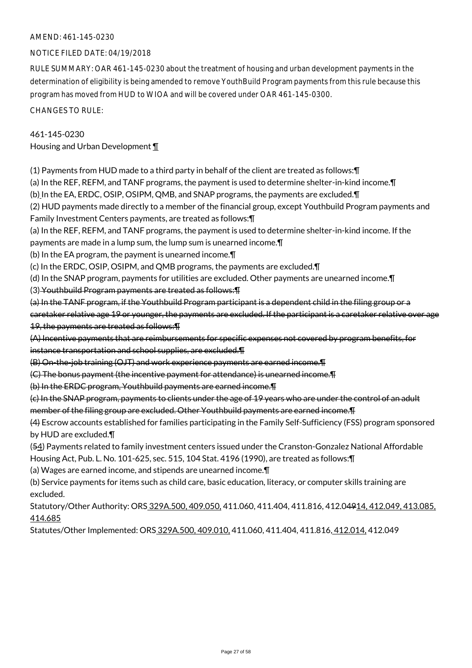### NOTICE FILED DATE: 04/19/2018

RULE SUMMARY: OAR 461-145-0230 about the treatment of housing and urban development payments in the determination of eligibility is being amended to remove YouthBuild Program payments from this rule because this program has moved from HUD to WIOA and will be covered under OAR 461-145-0300.

CHANGES TO RULE:

#### 461-145-0230

Housing and Urban Development ¶

(1) Payments from HUD made to a third party in behalf of the client are treated as follows:¶

(a) In the REF, REFM, and TANF programs, the payment is used to determine shelter-in-kind income.¶

(b) In the EA, ERDC, OSIP, OSIPM, QMB, and SNAP programs, the payments are excluded.¶

(2) HUD payments made directly to a member of the financial group, except Youthbuild Program payments and Family Investment Centers payments, are treated as follows:¶

(a) In the REF, REFM, and TANF programs, the payment is used to determine shelter-in-kind income. If the

payments are made in a lump sum, the lump sum is unearned income.¶

(b) In the EA program, the payment is unearned income.¶

(c) In the ERDC, OSIP, OSIPM, and QMB programs, the payments are excluded.¶

(d) In the SNAP program, payments for utilities are excluded. Other payments are unearned income.¶

(3) Youthbuild Program payments are treated as follows:¶

(a) In the TANF program, if the Youthbuild Program participant is a dependent child in the filing group or a caretaker relative age 19 or younger, the payments are excluded. If the participant is a caretaker relative over age 19, the payments are treated as follows:¶

(A) Incentive payments that are reimbursements for specific expenses not covered by program benefits, for instance transportation and school supplies, are excluded.¶

(B) On-the-job training (OJT) and work experience payments are earned income.¶

(C) The bonus payment (the incentive payment for attendance) is unearned income.¶

(b) In the ERDC program, Youthbuild payments are earned income.¶

(c) In the SNAP program, payments to clients under the age of 19 years who are under the control of an adult member of the filing group are excluded. Other Youthbuild payments are earned income.¶

(4) Escrow accounts established for families participating in the Family Self-Sufficiency (FSS) program sponsored by HUD are excluded.¶

(54) Payments related to family investment centers issued under the Cranston-Gonzalez National Affordable Housing Act, Pub. L. No. 101-625, sec. 515, 104 Stat. 4196 (1990), are treated as follows:¶

(a) Wages are earned income, and stipends are unearned income.¶

(b) Service payments for items such as child care, basic education, literacy, or computer skills training are excluded.

Statutory/Other Authority: ORS 329A.500, 409.050, 411.060, 411.404, 411.816, 412.04914, 412.049, 413.085, 414.685

Statutes/Other Implemented: ORS 329A.500, 409.010, 411.060, 411.404, 411.816, 412.014, 412.049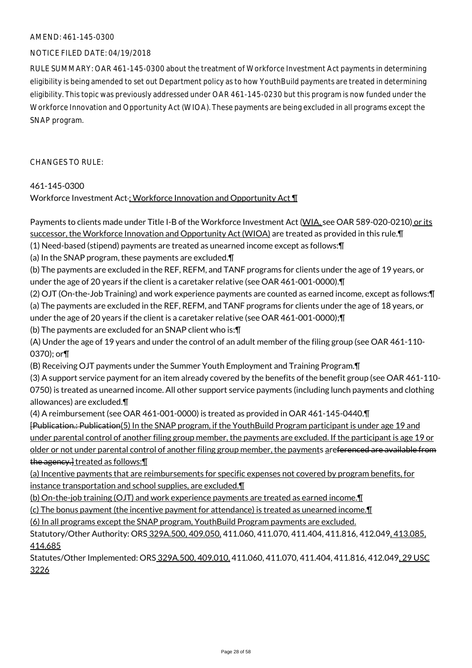### NOTICE FILED DATE: 04/19/2018

RULE SUMMARY: OAR 461-145-0300 about the treatment of Workforce Investment Act payments in determining eligibility is being amended to set out Department policy as to how YouthBuild payments are treated in determining eligibility. This topic was previously addressed under OAR 461-145-0230 but this program is now funded under the Workforce Innovation and Opportunity Act (WIOA). These payments are being excluded in all programs except the SNAP program.

CHANGES TO RULE:

### 461-145-0300

Workforce Investment Act ; Workforce Innovation and Opportunity Act ¶

Payments to clients made under Title I-B of the Workforce Investment Act (WIA, see OAR 589-020-0210) or its successor, the Workforce Innovation and Opportunity Act (WIOA) are treated as provided in this rule.¶ (1) Need-based (stipend) payments are treated as unearned income except as follows:¶ (a) In the SNAP program, these payments are excluded.¶ (b) The payments are excluded in the REF, REFM, and TANF programs for clients under the age of 19 years, or under the age of 20 years if the client is a caretaker relative (see OAR 461-001-0000).¶ (2) OJT (On-the-Job Training) and work experience payments are counted as earned income, except as follows:¶ (a) The payments are excluded in the REF, REFM, and TANF programs for clients under the age of 18 years, or under the age of 20 years if the client is a caretaker relative (see OAR 461-001-0000);¶ (b) The payments are excluded for an SNAP client who is:¶ (A) Under the age of 19 years and under the control of an adult member of the filing group (see OAR 461-110- 0370); or¶ (B) Receiving OJT payments under the Summer Youth Employment and Training Program.¶ (3) A support service payment for an item already covered by the benefits of the benefit group (see OAR 461-110- 0750) is treated as unearned income. All other support service payments (including lunch payments and clothing allowances) are excluded.¶ (4) A reimbursement (see OAR 461-001-0000) is treated as provided in OAR 461-145-0440.¶ [Publication.: Publication(5) In the SNAP program, if the YouthBuild Program participant is under age 19 and under parental control of another filing group member, the payments are excluded. If the participant is age 19 or older or not under parental control of another filing group member, the payments areferenced are available from the agency.] treated as follows:¶ (a) Incentive payments that are reimbursements for specific expenses not covered by program benefits, for instance transportation and school supplies, are excluded.¶ (b) On-the-job training (OJT) and work experience payments are treated as earned income.¶ (c) The bonus payment (the incentive payment for attendance) is treated as unearned income.¶

(6) In all programs except the SNAP program, YouthBuild Program payments are excluded.

Statutory/Other Authority: ORS 329A.500, 409.050, 411.060, 411.070, 411.404, 411.816, 412.049, 413.085, 414.685

Statutes/Other Implemented: ORS 329A.500, 409.010, 411.060, 411.070, 411.404, 411.816, 412.049, 29 USC 3226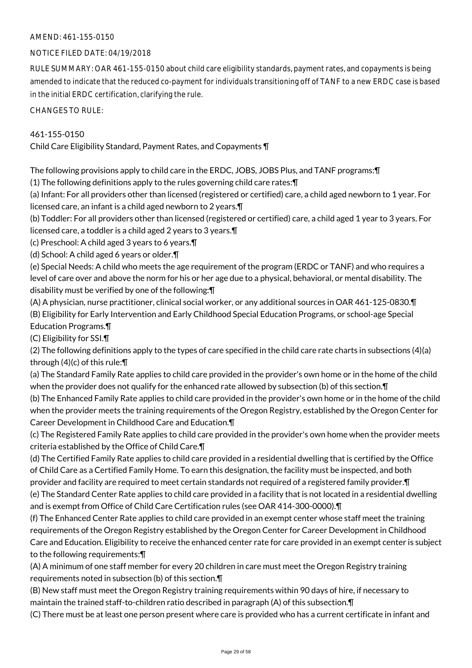### NOTICE FILED DATE: 04/19/2018

RULE SUMMARY: OAR 461-155-0150 about child care eligibility standards, payment rates, and copayments is being amended to indicate that the reduced co-payment for individuals transitioning off of TANF to a new ERDC case is based in the initial ERDC certification, clarifying the rule.

CHANGES TO RULE:

### 461-155-0150

Child Care Eligibility Standard, Payment Rates, and Copayments ¶

The following provisions apply to child care in the ERDC, JOBS, JOBS Plus, and TANF programs:¶

(1) The following definitions apply to the rules governing child care rates:¶

(a) Infant: For all providers other than licensed (registered or certified) care, a child aged newborn to 1 year. For licensed care, an infant is a child aged newborn to 2 years.¶

(b) Toddler: For all providers other than licensed (registered or certified) care, a child aged 1 year to 3 years. For licensed care, a toddler is a child aged 2 years to 3 years.¶

(c) Preschool: A child aged 3 years to 6 years.¶

(d) School: A child aged 6 years or older.¶

(e) Special Needs: A child who meets the age requirement of the program (ERDC or TANF) and who requires a level of care over and above the norm for his or her age due to a physical, behavioral, or mental disability. The disability must be verified by one of the following:¶

(A) A physician, nurse practitioner, clinical social worker, or any additional sources in OAR 461-125-0830.¶ (B) Eligibility for Early Intervention and Early Childhood Special Education Programs, or school-age Special Education Programs.¶

(C) Eligibility for SSI.¶

(2) The following definitions apply to the types of care specified in the child care rate charts in subsections (4)(a) through (4)(c) of this rule:¶

(a) The Standard Family Rate applies to child care provided in the provider's own home or in the home of the child when the provider does not qualify for the enhanced rate allowed by subsection (b) of this section.¶

(b) The Enhanced Family Rate applies to child care provided in the provider's own home or in the home of the child when the provider meets the training requirements of the Oregon Registry, established by the Oregon Center for Career Development in Childhood Care and Education.¶

(c) The Registered Family Rate applies to child care provided in the provider's own home when the provider meets criteria established by the Office of Child Care.¶

(d) The Certified Family Rate applies to child care provided in a residential dwelling that is certified by the Office of Child Care as a Certified Family Home. To earn this designation, the facility must be inspected, and both provider and facility are required to meet certain standards not required of a registered family provider.¶ (e) The Standard Center Rate applies to child care provided in a facility that is not located in a residential dwelling and is exempt from Office of Child Care Certification rules (see OAR 414-300-0000).¶

(f) The Enhanced Center Rate applies to child care provided in an exempt center whose staff meet the training requirements of the Oregon Registry established by the Oregon Center for Career Development in Childhood Care and Education. Eligibility to receive the enhanced center rate for care provided in an exempt center is subject to the following requirements:¶

(A) A minimum of one staff member for every 20 children in care must meet the Oregon Registry training requirements noted in subsection (b) of this section.¶

(B) New staff must meet the Oregon Registry training requirements within 90 days of hire, if necessary to maintain the trained staff-to-children ratio described in paragraph (A) of this subsection.¶

(C) There must be at least one person present where care is provided who has a current certificate in infant and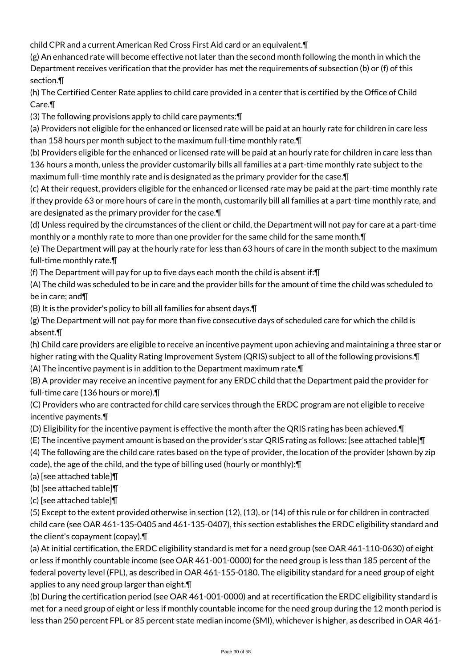child CPR and a current American Red Cross First Aid card or an equivalent.¶

(g) An enhanced rate will become effective not later than the second month following the month in which the Department receives verification that the provider has met the requirements of subsection (b) or (f) of this section.¶

(h) The Certified Center Rate applies to child care provided in a center that is certified by the Office of Child Care.¶

(3) The following provisions apply to child care payments:¶

(a) Providers not eligible for the enhanced or licensed rate will be paid at an hourly rate for children in care less than 158 hours per month subject to the maximum full-time monthly rate.¶

(b) Providers eligible for the enhanced or licensed rate will be paid at an hourly rate for children in care less than 136 hours a month, unless the provider customarily bills all families at a part-time monthly rate subject to the maximum full-time monthly rate and is designated as the primary provider for the case.¶

(c) At their request, providers eligible for the enhanced or licensed rate may be paid at the part-time monthly rate if they provide 63 or more hours of care in the month, customarily bill all families at a part-time monthly rate, and are designated as the primary provider for the case.¶

(d) Unless required by the circumstances of the client or child, the Department will not pay for care at a part-time monthly or a monthly rate to more than one provider for the same child for the same month.¶

(e) The Department will pay at the hourly rate for less than 63 hours of care in the month subject to the maximum full-time monthly rate.¶

(f) The Department will pay for up to five days each month the child is absent if:¶

(A) The child was scheduled to be in care and the provider bills for the amount of time the child was scheduled to be in care; and¶

(B) It is the provider's policy to bill all families for absent days.¶

(g) The Department will not pay for more than five consecutive days of scheduled care for which the child is absent.¶

(h) Child care providers are eligible to receive an incentive payment upon achieving and maintaining a three star or higher rating with the Quality Rating Improvement System (QRIS) subject to all of the following provisions.¶

(A) The incentive payment is in addition to the Department maximum rate.¶

(B) A provider may receive an incentive payment for any ERDC child that the Department paid the provider for full-time care (136 hours or more).¶

(C) Providers who are contracted for child care services through the ERDC program are not eligible to receive incentive payments.¶

(D) Eligibility for the incentive payment is effective the month after the QRIS rating has been achieved.¶

(E) The incentive payment amount is based on the provider's star QRIS rating as follows: [see attached table]¶

(4) The following are the child care rates based on the type of provider, the location of the provider (shown by zip code), the age of the child, and the type of billing used (hourly or monthly):¶

(a) [see attached table]¶

(b) [see attached table]¶

(c) [see attached table]¶

(5) Except to the extent provided otherwise in section (12), (13), or (14) of this rule or for children in contracted child care (see OAR 461-135-0405 and 461-135-0407), this section establishes the ERDC eligibility standard and the client's copayment (copay).¶

(a) At initial certification, the ERDC eligibility standard is met for a need group (see OAR 461-110-0630) of eight or less if monthly countable income (see OAR 461-001-0000) for the need group is less than 185 percent of the federal poverty level (FPL), as described in OAR 461-155-0180. The eligibility standard for a need group of eight applies to any need group larger than eight.¶

(b) During the certification period (see OAR 461-001-0000) and at recertification the ERDC eligibility standard is met for a need group of eight or less if monthly countable income for the need group during the 12 month period is less than 250 percent FPL or 85 percent state median income (SMI), whichever is higher, as described in OAR 461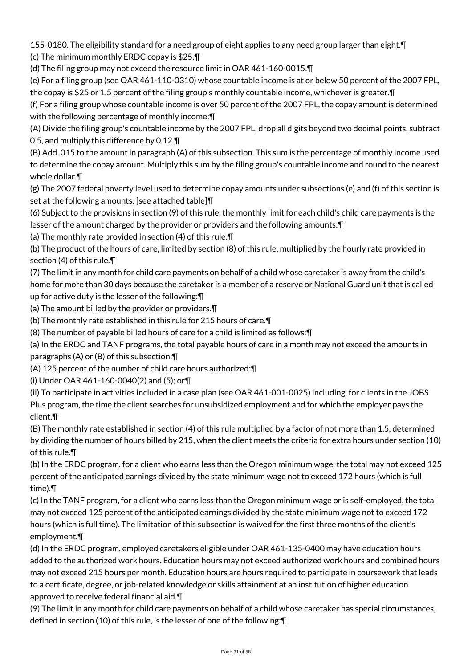155-0180. The eligibility standard for a need group of eight applies to any need group larger than eight.¶ (c) The minimum monthly ERDC copay is \$25.¶

(d) The filing group may not exceed the resource limit in OAR 461-160-0015.¶

(e) For a filing group (see OAR 461-110-0310) whose countable income is at or below 50 percent of the 2007 FPL, the copay is \$25 or 1.5 percent of the filing group's monthly countable income, whichever is greater.¶

(f) For a filing group whose countable income is over 50 percent of the 2007 FPL, the copay amount is determined with the following percentage of monthly income: \[

(A) Divide the filing group's countable income by the 2007 FPL, drop all digits beyond two decimal points, subtract 0.5, and multiply this difference by 0.12.¶

(B) Add .015 to the amount in paragraph (A) of this subsection. This sum is the percentage of monthly income used to determine the copay amount. Multiply this sum by the filing group's countable income and round to the nearest whole dollar.¶

(g) The 2007 federal poverty level used to determine copay amounts under subsections (e) and (f) of this section is set at the following amounts: [see attached table]¶

(6) Subject to the provisions in section (9) of this rule, the monthly limit for each child's child care payments is the lesser of the amount charged by the provider or providers and the following amounts:¶

(a) The monthly rate provided in section (4) of this rule.¶

(b) The product of the hours of care, limited by section (8) of this rule, multiplied by the hourly rate provided in section (4) of this rule.¶

(7) The limit in any month for child care payments on behalf of a child whose caretaker is away from the child's home for more than 30 days because the caretaker is a member of a reserve or National Guard unit that is called up for active duty is the lesser of the following:¶

(a) The amount billed by the provider or providers.¶

(b) The monthly rate established in this rule for 215 hours of care.¶

(8) The number of payable billed hours of care for a child is limited as follows:¶

(a) In the ERDC and TANF programs, the total payable hours of care in a month may not exceed the amounts in paragraphs (A) or (B) of this subsection:¶

(A) 125 percent of the number of child care hours authorized:¶

(i) Under OAR 461-160-0040(2) and (5); or¶

(ii) To participate in activities included in a case plan (see OAR 461-001-0025) including, for clients in the JOBS Plus program, the time the client searches for unsubsidized employment and for which the employer pays the client.¶

(B) The monthly rate established in section (4) of this rule multiplied by a factor of not more than 1.5, determined by dividing the number of hours billed by 215, when the client meets the criteria for extra hours under section (10) of this rule.¶

(b) In the ERDC program, for a client who earns less than the Oregon minimum wage, the total may not exceed 125 percent of the anticipated earnings divided by the state minimum wage not to exceed 172 hours (which is full time).¶

(c) In the TANF program, for a client who earns less than the Oregon minimum wage or is self-employed, the total may not exceed 125 percent of the anticipated earnings divided by the state minimum wage not to exceed 172 hours (which is full time). The limitation of this subsection is waived for the first three months of the client's employment.¶

(d) In the ERDC program, employed caretakers eligible under OAR 461-135-0400 may have education hours added to the authorized work hours. Education hours may not exceed authorized work hours and combined hours may not exceed 215 hours per month. Education hours are hours required to participate in coursework that leads to a certificate, degree, or job-related knowledge or skills attainment at an institution of higher education approved to receive federal financial aid.¶

(9) The limit in any month for child care payments on behalf of a child whose caretaker has special circumstances, defined in section (10) of this rule, is the lesser of one of the following:¶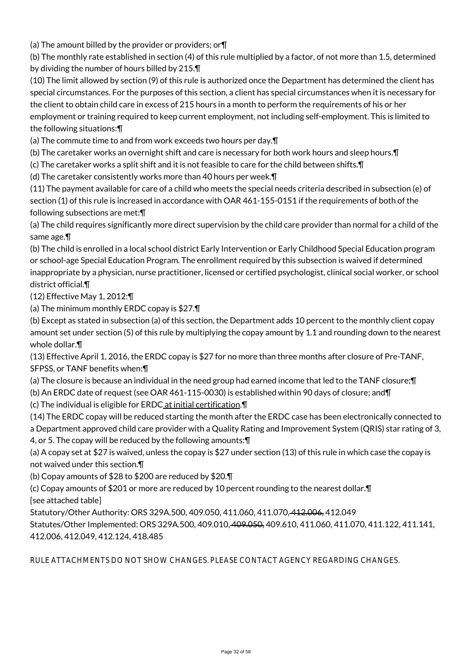(a) The amount billed by the provider or providers; or¶

(b) The monthly rate established in section (4) of this rule multiplied by a factor, of not more than 1.5, determined by dividing the number of hours billed by 215.¶

(10) The limit allowed by section (9) of this rule is authorized once the Department has determined the client has special circumstances. For the purposes of this section, a client has special circumstances when it is necessary for the client to obtain child care in excess of 215 hours in a month to perform the requirements of his or her employment or training required to keep current employment, not including self-employment. This is limited to the following situations:¶

(a) The commute time to and from work exceeds two hours per day.¶

(b) The caretaker works an overnight shift and care is necessary for both work hours and sleep hours.¶

(c) The caretaker works a split shift and it is not feasible to care for the child between shifts.¶

(d) The caretaker consistently works more than 40 hours per week.¶

(11) The payment available for care of a child who meets the special needs criteria described in subsection (e) of section (1) of this rule is increased in accordance with OAR 461-155-0151 if the requirements of both of the following subsections are met:¶

(a) The child requires significantly more direct supervision by the child care provider than normal for a child of the same age.¶

(b) The child is enrolled in a local school district Early Intervention or Early Childhood Special Education program or school-age Special Education Program. The enrollment required by this subsection is waived if determined inappropriate by a physician, nurse practitioner, licensed or certified psychologist, clinical social worker, or school district official.¶

(12) Effective May 1, 2012:¶

(a) The minimum monthly ERDC copay is \$27.¶

(b) Except as stated in subsection (a) of this section, the Department adds 10 percent to the monthly client copay amount set under section (5) of this rule by multiplying the copay amount by 1.1 and rounding down to the nearest whole dollar.¶

(13) Effective April 1, 2016, the ERDC copay is \$27 for no more than three months after closure of Pre-TANF, SFPSS, or TANF benefits when:¶

(a) The closure is because an individual in the need group had earned income that led to the TANF closure;¶

(b) An ERDC date of request (see OAR 461-115-0030) is established within 90 days of closure; and¶

(c) The individual is eligible for ERDC at initial certification.¶

(14) The ERDC copay will be reduced starting the month after the ERDC case has been electronically connected to a Department approved child care provider with a Quality Rating and Improvement System (QRIS) star rating of 3, 4, or 5. The copay will be reduced by the following amounts:¶

(a) A copay set at \$27 is waived, unless the copay is \$27 under section (13) of this rule in which case the copay is not waived under this section.¶

(b) Copay amounts of \$28 to \$200 are reduced by \$20.¶

(c) Copay amounts of \$201 or more are reduced by 10 percent rounding to the nearest dollar.¶ [see attached table]

Statutory/Other Authority: ORS 329A.500, 409.050, 411.060, 411.070, 412.006, 412.049

Statutes/Other Implemented: ORS 329A.500, 409.010, 409.050, 409.610, 411.060, 411.070, 411.122, 411.141, 412.006, 412.049, 412.124, 418.485

RULE ATTACHMENTS DO NOT SHOW CHANGES. PLEASE CONTACT AGENCY REGARDING CHANGES.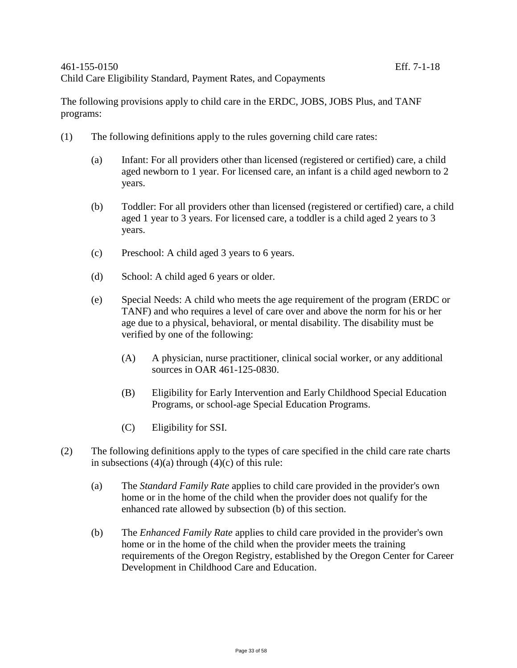The following provisions apply to child care in the ERDC, JOBS, JOBS Plus, and TANF programs:

- (1) The following definitions apply to the rules governing child care rates:
	- (a) Infant: For all providers other than licensed (registered or certified) care, a child aged newborn to 1 year. For licensed care, an infant is a child aged newborn to 2 years.
	- (b) Toddler: For all providers other than licensed (registered or certified) care, a child aged 1 year to 3 years. For licensed care, a toddler is a child aged 2 years to 3 years.
	- (c) Preschool: A child aged 3 years to 6 years.
	- (d) School: A child aged 6 years or older.
	- (e) Special Needs: A child who meets the age requirement of the program (ERDC or TANF) and who requires a level of care over and above the norm for his or her age due to a physical, behavioral, or mental disability. The disability must be verified by one of the following:
		- (A) A physician, nurse practitioner, clinical social worker, or any additional sources in OAR 461-125-0830.
		- (B) Eligibility for Early Intervention and Early Childhood Special Education Programs, or school-age Special Education Programs.
		- (C) Eligibility for SSI.
- (2) The following definitions apply to the types of care specified in the child care rate charts in subsections  $(4)(a)$  through  $(4)(c)$  of this rule:
	- (a) The *Standard Family Rate* applies to child care provided in the provider's own home or in the home of the child when the provider does not qualify for the enhanced rate allowed by subsection (b) of this section.
	- (b) The *Enhanced Family Rate* applies to child care provided in the provider's own home or in the home of the child when the provider meets the training requirements of the Oregon Registry, established by the Oregon Center for Career Development in Childhood Care and Education.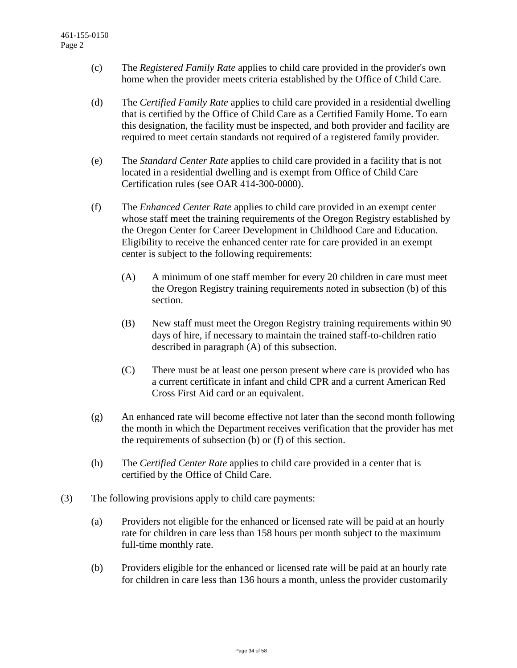- (c) The *Registered Family Rate* applies to child care provided in the provider's own home when the provider meets criteria established by the Office of Child Care.
- (d) The *Certified Family Rate* applies to child care provided in a residential dwelling that is certified by the Office of Child Care as a Certified Family Home. To earn this designation, the facility must be inspected, and both provider and facility are required to meet certain standards not required of a registered family provider.
- (e) The *Standard Center Rate* applies to child care provided in a facility that is not located in a residential dwelling and is exempt from Office of Child Care Certification rules (see OAR 414-300-0000).
- (f) The *Enhanced Center Rate* applies to child care provided in an exempt center whose staff meet the training requirements of the Oregon Registry established by the Oregon Center for Career Development in Childhood Care and Education. Eligibility to receive the enhanced center rate for care provided in an exempt center is subject to the following requirements:
	- (A) A minimum of one staff member for every 20 children in care must meet the Oregon Registry training requirements noted in subsection (b) of this section.
	- (B) New staff must meet the Oregon Registry training requirements within 90 days of hire, if necessary to maintain the trained staff-to-children ratio described in paragraph (A) of this subsection.
	- (C) There must be at least one person present where care is provided who has a current certificate in infant and child CPR and a current American Red Cross First Aid card or an equivalent.
- (g) An enhanced rate will become effective not later than the second month following the month in which the Department receives verification that the provider has met the requirements of subsection (b) or (f) of this section.
- (h) The *Certified Center Rate* applies to child care provided in a center that is certified by the Office of Child Care.
- (3) The following provisions apply to child care payments:
	- (a) Providers not eligible for the enhanced or licensed rate will be paid at an hourly rate for children in care less than 158 hours per month subject to the maximum full-time monthly rate.
	- (b) Providers eligible for the enhanced or licensed rate will be paid at an hourly rate for children in care less than 136 hours a month, unless the provider customarily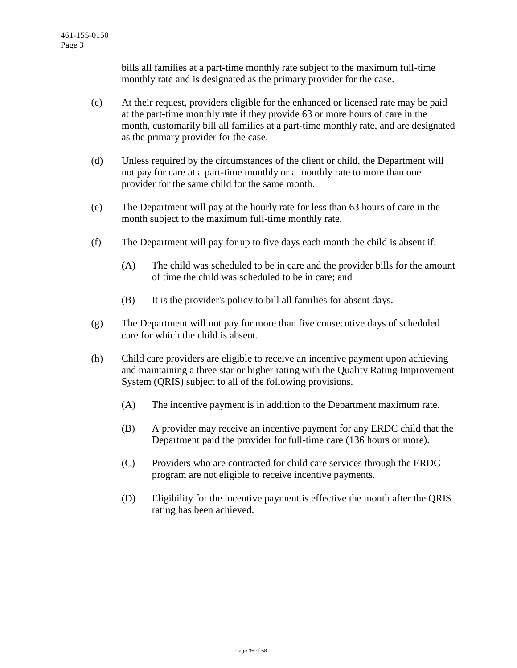bills all families at a part-time monthly rate subject to the maximum full-time monthly rate and is designated as the primary provider for the case.

- (c) At their request, providers eligible for the enhanced or licensed rate may be paid at the part-time monthly rate if they provide 63 or more hours of care in the month, customarily bill all families at a part-time monthly rate, and are designated as the primary provider for the case.
- (d) Unless required by the circumstances of the client or child, the Department will not pay for care at a part-time monthly or a monthly rate to more than one provider for the same child for the same month.
- (e) The Department will pay at the hourly rate for less than 63 hours of care in the month subject to the maximum full-time monthly rate.
- (f) The Department will pay for up to five days each month the child is absent if:
	- (A) The child was scheduled to be in care and the provider bills for the amount of time the child was scheduled to be in care; and
	- (B) It is the provider's policy to bill all families for absent days.
- (g) The Department will not pay for more than five consecutive days of scheduled care for which the child is absent.
- (h) Child care providers are eligible to receive an incentive payment upon achieving and maintaining a three star or higher rating with the Quality Rating Improvement System (QRIS) subject to all of the following provisions.
	- (A) The incentive payment is in addition to the Department maximum rate.
	- (B) A provider may receive an incentive payment for any ERDC child that the Department paid the provider for full-time care (136 hours or more).
	- (C) Providers who are contracted for child care services through the ERDC program are not eligible to receive incentive payments.
	- (D) Eligibility for the incentive payment is effective the month after the QRIS rating has been achieved.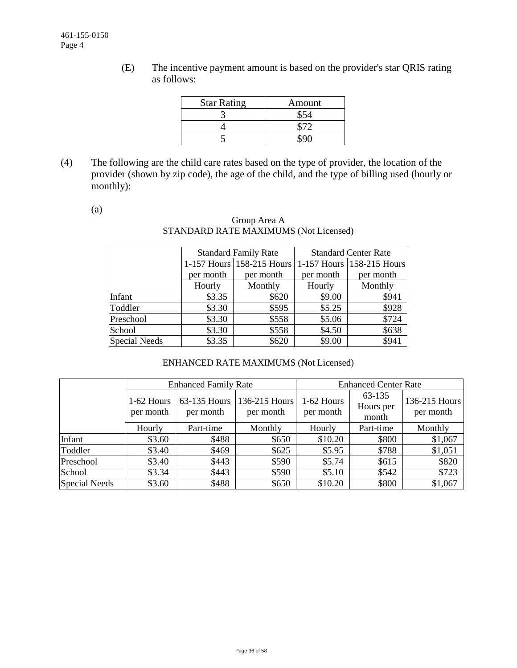(E) The incentive payment amount is based on the provider's star QRIS rating as follows:

| <b>Star Rating</b> | Amount |
|--------------------|--------|
|                    |        |
|                    |        |
|                    |        |

(4) The following are the child care rates based on the type of provider, the location of the provider (shown by zip code), the age of the child, and the type of billing used (hourly or monthly):

(a)

### Group Area A STANDARD RATE MAXIMUMS (Not Licensed)

|                      |           | <b>Standard Family Rate</b> | <b>Standard Center Rate</b> |                           |  |  |
|----------------------|-----------|-----------------------------|-----------------------------|---------------------------|--|--|
|                      |           | 1-157 Hours 158-215 Hours   |                             | 1-157 Hours 158-215 Hours |  |  |
|                      | per month | per month                   | per month                   | per month                 |  |  |
|                      | Hourly    | Monthly                     | Hourly                      | Monthly                   |  |  |
| Infant               | \$3.35    | \$620                       | \$9.00                      | \$941                     |  |  |
| Toddler              | \$3.30    | \$595                       | \$5.25                      | \$928                     |  |  |
| Preschool            | \$3.30    | \$558                       | \$5.06                      | \$724                     |  |  |
| School               | \$3.30    | \$558                       | \$4.50                      | \$638                     |  |  |
| <b>Special Needs</b> | \$3.35    | \$620                       | \$9.00                      | \$941                     |  |  |

# ENHANCED RATE MAXIMUMS (Not Licensed)

|               |                           | <b>Enhanced Family Rate</b> | <b>Enhanced Center Rate</b> |                         |                              |                            |
|---------------|---------------------------|-----------------------------|-----------------------------|-------------------------|------------------------------|----------------------------|
|               | $1-62$ Hours<br>per month | 63-135 Hours<br>per month   | 136-215 Hours<br>per month  | 1-62 Hours<br>per month | 63-135<br>Hours per<br>month | 136-215 Hours<br>per month |
|               | Hourly                    | Part-time                   | Monthly                     | Hourly                  | Part-time                    | Monthly                    |
| Infant        | \$3.60                    | \$488                       | \$650                       | \$10.20                 | \$800                        | \$1,067                    |
| Toddler       | \$3.40                    | \$469                       | \$625                       | \$5.95                  | \$788                        | \$1,051                    |
| Preschool     | \$3.40                    | \$443                       | \$590                       | \$5.74                  | \$615                        | \$820                      |
| School        | \$3.34                    | \$443                       | \$590                       | \$5.10                  | \$542                        | \$723                      |
| Special Needs | \$3.60                    | \$488                       | \$650                       | \$10.20                 | \$800                        | \$1,067                    |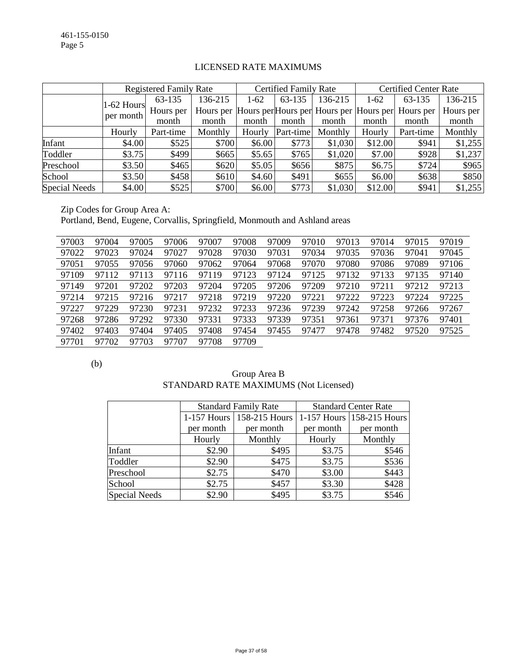|                      |              | <b>Registered Family Rate</b> |         |        | Certified Family Rate |         |         | <b>Certified Center Rate</b>                                |           |  |
|----------------------|--------------|-------------------------------|---------|--------|-----------------------|---------|---------|-------------------------------------------------------------|-----------|--|
|                      | $1-62$ Hours | 63-135                        | 136-215 | $1-62$ | 63-135                | 136-215 | $1-62$  | 63-135                                                      | 136-215   |  |
|                      | per month    | Hours per                     |         |        |                       |         |         | Hours per Hours per Hours per Hours per Hours per Hours per | Hours per |  |
|                      |              | month                         | month   | month  | month                 | month   | month   | month                                                       | month     |  |
|                      | Hourly       | Part-time                     | Monthly | Hourly | Part-time             | Monthly | Hourly  | Part-time                                                   | Monthly   |  |
| Infant               | \$4.00       | \$525                         | \$700   | \$6.00 | \$773                 | \$1,030 | \$12.00 | \$941                                                       | \$1,255   |  |
| Toddler              | \$3.75       | \$499                         | \$665   | \$5.65 | \$765                 | \$1,020 | \$7.00  | \$928                                                       | \$1,237   |  |
| Preschool            | \$3.50       | \$465                         | \$620   | \$5.05 | \$656                 | \$875   | \$6.75  | \$724                                                       | \$965     |  |
| School               | \$3.50       | \$458                         | \$610   | \$4.60 | \$491                 | \$655   | \$6.00  | \$638                                                       | \$850     |  |
| <b>Special Needs</b> | \$4.00       | \$525                         | \$700   | \$6.00 | \$773                 | \$1,030 | \$12.00 | \$941                                                       | \$1,255   |  |

### LICENSED RATE MAXIMUMS

Zip Codes for Group Area A: Portland, Bend, Eugene, Corvallis, Springfield, Monmouth and Ashland areas

| 97003 | 97004 | 97005 | 97006 | 97007 | 97008 | 97009 | 97010 | 97013 | 97014 | 97015 | 97019 |
|-------|-------|-------|-------|-------|-------|-------|-------|-------|-------|-------|-------|
| 97022 | 97023 | 97024 | 97027 | 97028 | 97030 | 97031 | 97034 | 97035 | 97036 | 97041 | 97045 |
| 97051 | 97055 | 97056 | 97060 | 97062 | 97064 | 97068 | 97070 | 97080 | 97086 | 97089 | 97106 |
| 97109 | 97112 | 97113 | 97116 | 97119 | 97123 | 97124 | 97125 | 97132 | 97133 | 97135 | 97140 |
| 97149 | 97201 | 97202 | 97203 | 97204 | 97205 | 97206 | 97209 | 97210 | 97211 | 97212 | 97213 |
| 97214 | 97215 | 97216 | 97217 | 97218 | 97219 | 97220 | 97221 | 97222 | 97223 | 97224 | 97225 |
| 97227 | 97229 | 97230 | 97231 | 97232 | 97233 | 97236 | 97239 | 97242 | 97258 | 97266 | 97267 |
| 97268 | 97286 | 97292 | 97330 | 97331 | 97333 | 97339 | 97351 | 97361 | 97371 | 97376 | 97401 |
| 97402 | 97403 | 97404 | 97405 | 97408 | 97454 | 97455 | 97477 | 97478 | 97482 | 97520 | 97525 |
| 97701 | 97702 | 97703 | 97707 | 97708 | 97709 |       |       |       |       |       |       |

(b)

| Group Area B                          |
|---------------------------------------|
| STANDARD RATE MAXIMUMS (Not Licensed) |

|               |           | <b>Standard Family Rate</b> | <b>Standard Center Rate</b> |                           |  |  |
|---------------|-----------|-----------------------------|-----------------------------|---------------------------|--|--|
|               |           | 1-157 Hours   158-215 Hours |                             | 1-157 Hours 158-215 Hours |  |  |
|               | per month | per month                   | per month                   | per month                 |  |  |
|               | Hourly    | Monthly                     | Hourly                      | Monthly                   |  |  |
| Infant        | \$2.90    | \$495                       | \$3.75                      | \$546                     |  |  |
| Toddler       | \$2.90    | \$475                       | \$3.75                      | \$536                     |  |  |
| Preschool     | \$2.75    | \$470                       | \$3.00                      | \$443                     |  |  |
| School        | \$2.75    | \$457                       | \$3.30                      | \$428                     |  |  |
| Special Needs | \$2.90    | \$495                       | \$3.75                      | \$546                     |  |  |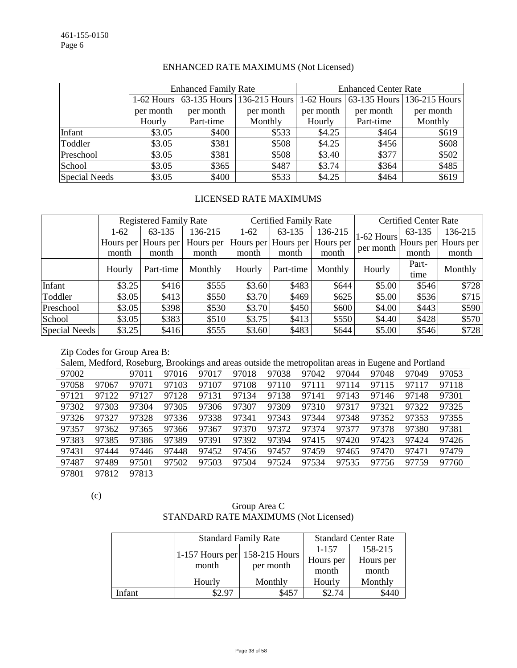|               |           | <b>Enhanced Family Rate</b> |                                       | <b>Enhanced Center Rate</b> |           |                                       |  |
|---------------|-----------|-----------------------------|---------------------------------------|-----------------------------|-----------|---------------------------------------|--|
|               |           |                             | 1-62 Hours 63-135 Hours 136-215 Hours |                             |           | 1-62 Hours 63-135 Hours 136-215 Hours |  |
|               | per month | per month                   | per month                             | per month                   | per month | per month                             |  |
|               | Hourly    | Part-time                   | Monthly                               | Hourly                      | Part-time | Monthly                               |  |
| Infant        | \$3.05    | \$400                       | \$533                                 | \$4.25                      | \$464     | \$619                                 |  |
| Toddler       | \$3.05    | \$381                       | \$508                                 | \$4.25                      | \$456     | \$608                                 |  |
| Preschool     | \$3.05    | \$381                       | \$508                                 | \$3.40                      | \$377     | \$502                                 |  |
| School        | \$3.05    | \$365                       | \$487                                 | \$3.74                      | \$364     | \$485                                 |  |
| Special Needs | \$3.05    | \$400                       | \$533                                 | \$4.25                      | \$464     | \$619                                 |  |

### ENHANCED RATE MAXIMUMS (Not Licensed)

### LICENSED RATE MAXIMUMS

|                      | <b>Registered Family Rate</b> |                     |           |        | <b>Certified Family Rate</b> |           | <b>Certified Center Rate</b>                       |        |           |
|----------------------|-------------------------------|---------------------|-----------|--------|------------------------------|-----------|----------------------------------------------------|--------|-----------|
|                      | $1-62$                        | 63-135              | 136-215   | $1-62$ | 63-135                       | 136-215   |                                                    | 63-135 | 136-215   |
|                      |                               | Hours per Hours per | Hours per |        | Hours per Hours per          | Hours per | $ 1-62$ Hours $ $ Hours per $ \cdot $<br>per month |        | Hours per |
|                      | month                         | month               | month     | month  | month                        | month     |                                                    | month  | month     |
|                      | Hourly                        | Part-time           | Monthly   | Hourly | Part-time                    | Monthly   | Hourly                                             | Part-  | Monthly   |
|                      |                               |                     |           |        |                              |           |                                                    | time   |           |
| Infant               | \$3.25                        | \$416               | \$555     | \$3.60 | \$483                        | \$644     | \$5.00                                             | \$546  | \$728     |
| Toddler              | \$3.05                        | \$413               | \$550     | \$3.70 | \$469                        | \$625     | \$5.00                                             | \$536  | \$715     |
| Preschool            | \$3.05                        | \$398               | \$530     | \$3.70 | \$450                        | \$600     | \$4.00                                             | \$443  | \$590     |
| School               | \$3.05                        | \$383               | \$510     | \$3.75 | \$413                        | \$550     | \$4.40                                             | \$428  | \$570     |
| <b>Special Needs</b> | \$3.25                        | \$416               | \$555     | \$3.60 | \$483                        | \$644     | \$5.00                                             | \$546  | \$728     |

#### Zip Codes for Group Area B:

Salem, Medford, Roseburg, Brookings and areas outside the metropolitan areas in Eugene and Portland

| 97002 |       | 97011 | 97016 | 97017 | 97018 | 97038 | 97042 | 97044 | 97048 | 97049 | 97053 |
|-------|-------|-------|-------|-------|-------|-------|-------|-------|-------|-------|-------|
| 97058 | 97067 | 97071 | 97103 | 97107 | 97108 | 97110 | 97111 | 97114 | 97115 | 97117 | 97118 |
| 97121 | 97122 | 97127 | 97128 | 97131 | 97134 | 97138 | 97141 | 97143 | 97146 | 97148 | 97301 |
| 97302 | 97303 | 97304 | 97305 | 97306 | 97307 | 97309 | 97310 | 97317 | 97321 | 97322 | 97325 |
| 97326 | 97327 | 97328 | 97336 | 97338 | 97341 | 97343 | 97344 | 97348 | 97352 | 97353 | 97355 |
| 97357 | 97362 | 97365 | 97366 | 97367 | 97370 | 97372 | 97374 | 97377 | 97378 | 97380 | 97381 |
| 97383 | 97385 | 97386 | 97389 | 97391 | 97392 | 97394 | 97415 | 97420 | 97423 | 97424 | 97426 |
| 97431 | 97444 | 97446 | 97448 | 97452 | 97456 | 97457 | 97459 | 97465 | 97470 | 97471 | 97479 |
| 97487 | 97489 | 97501 | 97502 | 97503 | 97504 | 97524 | 97534 | 97535 | 97756 | 97759 | 97760 |
| 97801 | 97812 | 97813 |       |       |       |       |       |       |       |       |       |

(c)

# Group Area C STANDARD RATE MAXIMUMS (Not Licensed)

|        |                                          | <b>Standard Family Rate</b> | <b>Standard Center Rate</b> |           |  |  |
|--------|------------------------------------------|-----------------------------|-----------------------------|-----------|--|--|
|        |                                          |                             | 1-157                       | 158-215   |  |  |
|        | 1-157 Hours per $158-215$ Hours<br>month | per month                   | Hours per                   | Hours per |  |  |
|        |                                          |                             | month                       | month     |  |  |
|        | Hourly                                   | Monthly                     | Hourly                      | Monthly   |  |  |
| Infant | \$2.97                                   | \$457                       | \$2.74                      | \$440     |  |  |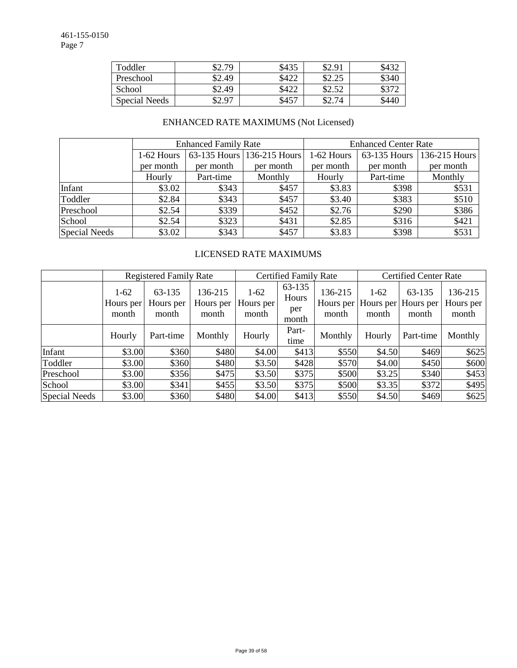| Toddler       | 32.79  | \$435 | \$2.91         | \$432 |
|---------------|--------|-------|----------------|-------|
| Preschool     | \$2.49 | \$422 | ぐつ つぐ<br>04.4J | \$340 |
| School        | \$2.49 | \$422 | \$2.52         |       |
| Special Needs | 0.97   | \$457 | \$2.74         | \$44  |

# ENHANCED RATE MAXIMUMS (Not Licensed)

|                      |              | <b>Enhanced Family Rate</b> |                                          | <b>Enhanced Center Rate</b> |              |               |  |
|----------------------|--------------|-----------------------------|------------------------------------------|-----------------------------|--------------|---------------|--|
|                      | $1-62$ Hours |                             | 63-135 Hours 136-215 Hours<br>1-62 Hours |                             | 63-135 Hours | 136-215 Hours |  |
|                      | per month    | per month                   | per month                                | per month                   | per month    | per month     |  |
|                      | Hourly       | Part-time                   | Monthly                                  | Hourly                      | Part-time    | Monthly       |  |
| Infant               | \$3.02       | \$343                       | \$457                                    | \$3.83                      | \$398        | \$531         |  |
| Toddler              | \$2.84       | \$343                       | \$457                                    | \$3.40                      | \$383        | \$510         |  |
| Preschool            | \$2.54       | \$339                       | \$452                                    | \$2.76                      | \$290        | \$386         |  |
| School               | \$2.54       | \$323                       | \$431                                    | \$2.85                      | \$316        | \$421         |  |
| <b>Special Needs</b> | \$3.02       | \$343                       | \$457                                    | \$3.83                      | \$398        | \$531         |  |

### LICENSED RATE MAXIMUMS

|                      | <b>Registered Family Rate</b> |                              |                               |                              | <b>Certified Family Rate</b>    |                               | <b>Certified Center Rate</b> |                              |                               |
|----------------------|-------------------------------|------------------------------|-------------------------------|------------------------------|---------------------------------|-------------------------------|------------------------------|------------------------------|-------------------------------|
|                      | $1-62$<br>Hours per<br>month  | 63-135<br>Hours per<br>month | 136-215<br>Hours per<br>month | $1-62$<br>Hours per<br>month | 63-135<br>Hours<br>per<br>month | 136-215<br>Hours per<br>month | $1-62$<br>Hours per<br>month | 63-135<br>Hours per<br>month | 136-215<br>Hours per<br>month |
|                      | Hourly                        | Part-time                    | Monthly                       | Hourly                       | Part-<br>time                   | Monthly                       | Hourly                       | Part-time                    | Monthly                       |
| Infant               | \$3.00                        | \$360                        | \$480                         | \$4.00                       | \$413                           | \$550                         | \$4.50                       | \$469                        | \$625                         |
| Toddler              | \$3.00                        | \$360                        | \$480                         | \$3.50                       | \$428                           | \$570                         | \$4.00                       | \$450                        | \$600                         |
| Preschool            | \$3.00                        | \$356                        | \$475                         | \$3.50                       | \$375                           | \$500                         | \$3.25                       | \$340                        | \$453                         |
| School               | \$3.00                        | \$341                        | \$455                         | \$3.50                       | \$375                           | \$500                         | \$3.35                       | \$372                        | \$495                         |
| <b>Special Needs</b> | \$3.00                        | \$360                        | \$480                         | \$4.00                       | \$413                           | \$550                         | \$4.50                       | \$469                        | \$625                         |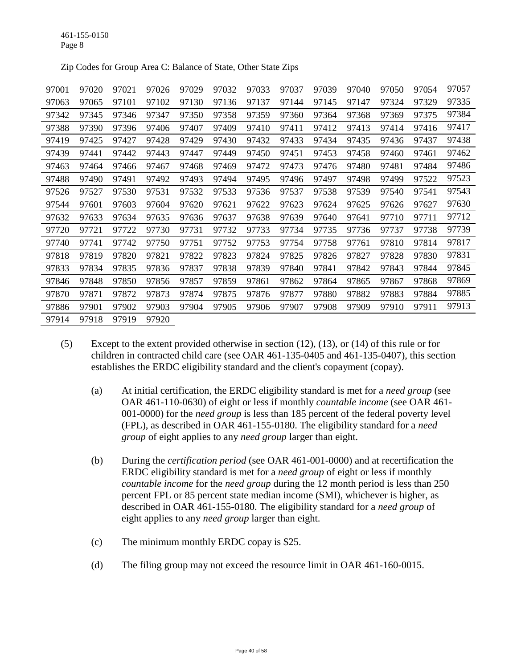| 97001 | 97020 | 97021 | 97026 | 97029 | 97032 | 97033 | 97037 | 97039 | 97040 | 97050 | 97054 | 97057 |
|-------|-------|-------|-------|-------|-------|-------|-------|-------|-------|-------|-------|-------|
| 97063 | 97065 | 97101 | 97102 | 97130 | 97136 | 97137 | 97144 | 97145 | 97147 | 97324 | 97329 | 97335 |
| 97342 | 97345 | 97346 | 97347 | 97350 | 97358 | 97359 | 97360 | 97364 | 97368 | 97369 | 97375 | 97384 |
| 97388 | 97390 | 97396 | 97406 | 97407 | 97409 | 97410 | 97411 | 97412 | 97413 | 97414 | 97416 | 97417 |
| 97419 | 97425 | 97427 | 97428 | 97429 | 97430 | 97432 | 97433 | 97434 | 97435 | 97436 | 97437 | 97438 |
| 97439 | 97441 | 97442 | 97443 | 97447 | 97449 | 97450 | 97451 | 97453 | 97458 | 97460 | 97461 | 97462 |
| 97463 | 97464 | 97466 | 97467 | 97468 | 97469 | 97472 | 97473 | 97476 | 97480 | 97481 | 97484 | 97486 |
| 97488 | 97490 | 97491 | 97492 | 97493 | 97494 | 97495 | 97496 | 97497 | 97498 | 97499 | 97522 | 97523 |
| 97526 | 97527 | 97530 | 97531 | 97532 | 97533 | 97536 | 97537 | 97538 | 97539 | 97540 | 97541 | 97543 |
| 97544 | 97601 | 97603 | 97604 | 97620 | 97621 | 97622 | 97623 | 97624 | 97625 | 97626 | 97627 | 97630 |
| 97632 | 97633 | 97634 | 97635 | 97636 | 97637 | 97638 | 97639 | 97640 | 97641 | 97710 | 97711 | 97712 |
| 97720 | 97721 | 97722 | 97730 | 97731 | 97732 | 97733 | 97734 | 97735 | 97736 | 97737 | 97738 | 97739 |
| 97740 | 97741 | 97742 | 97750 | 97751 | 97752 | 97753 | 97754 | 97758 | 97761 | 97810 | 97814 | 97817 |
| 97818 | 97819 | 97820 | 97821 | 97822 | 97823 | 97824 | 97825 | 97826 | 97827 | 97828 | 97830 | 97831 |
| 97833 | 97834 | 97835 | 97836 | 97837 | 97838 | 97839 | 97840 | 97841 | 97842 | 97843 | 97844 | 97845 |
| 97846 | 97848 | 97850 | 97856 | 97857 | 97859 | 97861 | 97862 | 97864 | 97865 | 97867 | 97868 | 97869 |
| 97870 | 97871 | 97872 | 97873 | 97874 | 97875 | 97876 | 97877 | 97880 | 97882 | 97883 | 97884 | 97885 |
| 97886 | 97901 | 97902 | 97903 | 97904 | 97905 | 97906 | 97907 | 97908 | 97909 | 97910 | 97911 | 97913 |
| 97914 | 97918 | 97919 | 97920 |       |       |       |       |       |       |       |       |       |

Zip Codes for Group Area C: Balance of State, Other State Zips

- (5) Except to the extent provided otherwise in section (12), (13), or (14) of this rule or for children in contracted child care (see OAR 461-135-0405 and 461-135-0407), this section establishes the ERDC eligibility standard and the client's copayment (copay).
	- (a) At initial certification, the ERDC eligibility standard is met for a *need group* (see OAR 461-110-0630) of eight or less if monthly *countable income* (see OAR 461- 001-0000) for the *need group* is less than 185 percent of the federal poverty level (FPL), as described in OAR 461-155-0180. The eligibility standard for a *need group* of eight applies to any *need group* larger than eight.
	- (b) During the *certification period* (see OAR 461-001-0000) and at recertification the ERDC eligibility standard is met for a *need group* of eight or less if monthly *countable income* for the *need group* during the 12 month period is less than 250 percent FPL or 85 percent state median income (SMI), whichever is higher, as described in OAR 461-155-0180. The eligibility standard for a *need group* of eight applies to any *need group* larger than eight.
	- (c) The minimum monthly ERDC copay is \$25.
	- (d) The filing group may not exceed the resource limit in OAR 461-160-0015.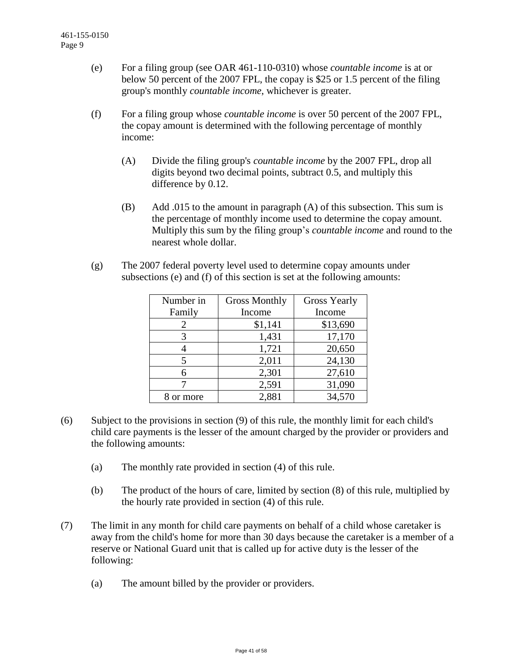- (e) For a filing group (see OAR 461-110-0310) whose *countable income* is at or below 50 percent of the 2007 FPL, the copay is \$25 or 1.5 percent of the filing group's monthly *countable income*, whichever is greater.
- (f) For a filing group whose *countable income* is over 50 percent of the 2007 FPL, the copay amount is determined with the following percentage of monthly income:
	- (A) Divide the filing group's *countable income* by the 2007 FPL, drop all digits beyond two decimal points, subtract 0.5, and multiply this difference by 0.12.
	- (B) Add .015 to the amount in paragraph (A) of this subsection. This sum is the percentage of monthly income used to determine the copay amount. Multiply this sum by the filing group's *countable income* and round to the nearest whole dollar.
- (g) The 2007 federal poverty level used to determine copay amounts under subsections (e) and (f) of this section is set at the following amounts:

| Number in | <b>Gross Monthly</b> | <b>Gross Yearly</b> |  |
|-----------|----------------------|---------------------|--|
| Family    | Income               | Income              |  |
| 2         | \$1,141              | \$13,690            |  |
| 3         | 1,431                | 17,170              |  |
|           | 1,721                | 20,650              |  |
| 5         | 2,011                | 24,130              |  |
| 6         | 2,301                | 27,610              |  |
|           | 2,591                | 31,090              |  |
| or more   | 2,881                | 34,570              |  |

- (6) Subject to the provisions in section (9) of this rule, the monthly limit for each child's child care payments is the lesser of the amount charged by the provider or providers and the following amounts:
	- (a) The monthly rate provided in section (4) of this rule.
	- (b) The product of the hours of care, limited by section (8) of this rule, multiplied by the hourly rate provided in section (4) of this rule.
- (7) The limit in any month for child care payments on behalf of a child whose caretaker is away from the child's home for more than 30 days because the caretaker is a member of a reserve or National Guard unit that is called up for active duty is the lesser of the following:
	- (a) The amount billed by the provider or providers.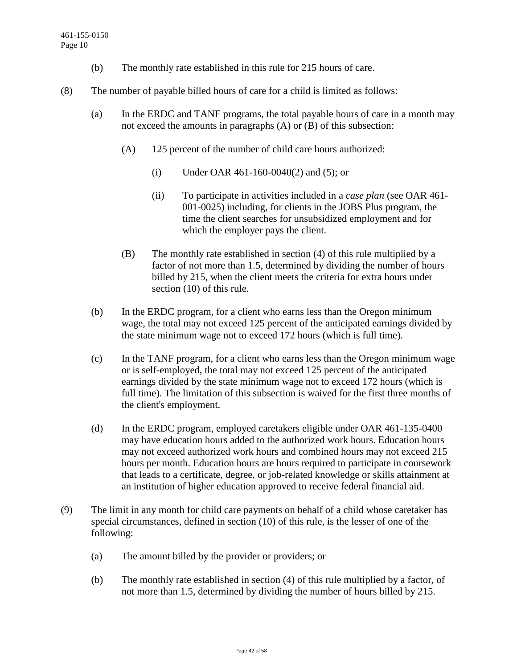- (b) The monthly rate established in this rule for 215 hours of care.
- (8) The number of payable billed hours of care for a child is limited as follows:
	- (a) In the ERDC and TANF programs, the total payable hours of care in a month may not exceed the amounts in paragraphs (A) or (B) of this subsection:
		- (A) 125 percent of the number of child care hours authorized:
			- (i) Under OAR 461-160-0040(2) and (5); or
			- (ii) To participate in activities included in a *case plan* (see OAR 461- 001-0025) including, for clients in the JOBS Plus program, the time the client searches for unsubsidized employment and for which the employer pays the client.
		- (B) The monthly rate established in section (4) of this rule multiplied by a factor of not more than 1.5, determined by dividing the number of hours billed by 215, when the client meets the criteria for extra hours under section (10) of this rule.
	- (b) In the ERDC program, for a client who earns less than the Oregon minimum wage, the total may not exceed 125 percent of the anticipated earnings divided by the state minimum wage not to exceed 172 hours (which is full time).
	- (c) In the TANF program, for a client who earns less than the Oregon minimum wage or is self-employed, the total may not exceed 125 percent of the anticipated earnings divided by the state minimum wage not to exceed 172 hours (which is full time). The limitation of this subsection is waived for the first three months of the client's employment.
	- (d) In the ERDC program, employed caretakers eligible under OAR 461-135-0400 may have education hours added to the authorized work hours. Education hours may not exceed authorized work hours and combined hours may not exceed 215 hours per month. Education hours are hours required to participate in coursework that leads to a certificate, degree, or job-related knowledge or skills attainment at an institution of higher education approved to receive federal financial aid.
- (9) The limit in any month for child care payments on behalf of a child whose caretaker has special circumstances, defined in section (10) of this rule, is the lesser of one of the following:
	- (a) The amount billed by the provider or providers; or
	- (b) The monthly rate established in section (4) of this rule multiplied by a factor, of not more than 1.5, determined by dividing the number of hours billed by 215.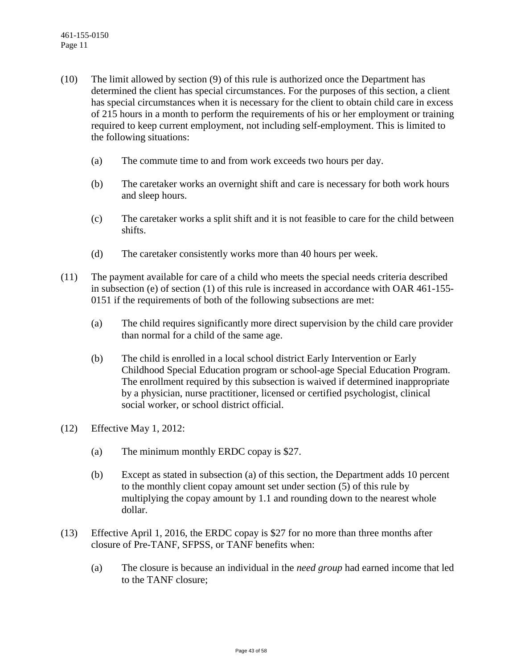- (10) The limit allowed by section (9) of this rule is authorized once the Department has determined the client has special circumstances. For the purposes of this section, a client has special circumstances when it is necessary for the client to obtain child care in excess of 215 hours in a month to perform the requirements of his or her employment or training required to keep current employment, not including self-employment. This is limited to the following situations:
	- (a) The commute time to and from work exceeds two hours per day.
	- (b) The caretaker works an overnight shift and care is necessary for both work hours and sleep hours.
	- (c) The caretaker works a split shift and it is not feasible to care for the child between shifts.
	- (d) The caretaker consistently works more than 40 hours per week.
- (11) The payment available for care of a child who meets the special needs criteria described in subsection (e) of section (1) of this rule is increased in accordance with OAR 461-155- 0151 if the requirements of both of the following subsections are met:
	- (a) The child requires significantly more direct supervision by the child care provider than normal for a child of the same age.
	- (b) The child is enrolled in a local school district Early Intervention or Early Childhood Special Education program or school-age Special Education Program. The enrollment required by this subsection is waived if determined inappropriate by a physician, nurse practitioner, licensed or certified psychologist, clinical social worker, or school district official.
- (12) Effective May 1, 2012:
	- (a) The minimum monthly ERDC copay is \$27.
	- (b) Except as stated in subsection (a) of this section, the Department adds 10 percent to the monthly client copay amount set under section (5) of this rule by multiplying the copay amount by 1.1 and rounding down to the nearest whole dollar.
- (13) Effective April 1, 2016, the ERDC copay is \$27 for no more than three months after closure of Pre-TANF, SFPSS, or TANF benefits when:
	- (a) The closure is because an individual in the *need group* had earned income that led to the TANF closure;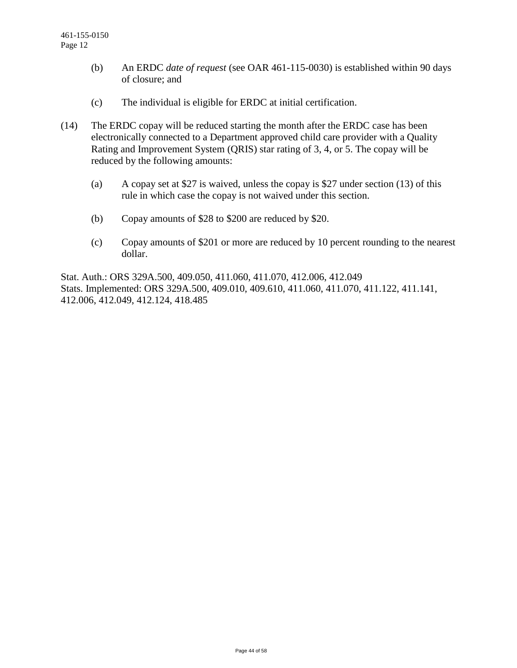- (b) An ERDC *date of request* (see OAR 461-115-0030) is established within 90 days of closure; and
- (c) The individual is eligible for ERDC at initial certification.
- (14) The ERDC copay will be reduced starting the month after the ERDC case has been electronically connected to a Department approved child care provider with a Quality Rating and Improvement System (QRIS) star rating of 3, 4, or 5. The copay will be reduced by the following amounts:
	- (a) A copay set at \$27 is waived, unless the copay is \$27 under section (13) of this rule in which case the copay is not waived under this section.
	- (b) Copay amounts of \$28 to \$200 are reduced by \$20.
	- (c) Copay amounts of \$201 or more are reduced by 10 percent rounding to the nearest dollar.

Stat. Auth.: ORS 329A.500, 409.050, 411.060, 411.070, 412.006, 412.049 Stats. Implemented: ORS 329A.500, 409.010, 409.610, 411.060, 411.070, 411.122, 411.141, 412.006, 412.049, 412.124, 418.485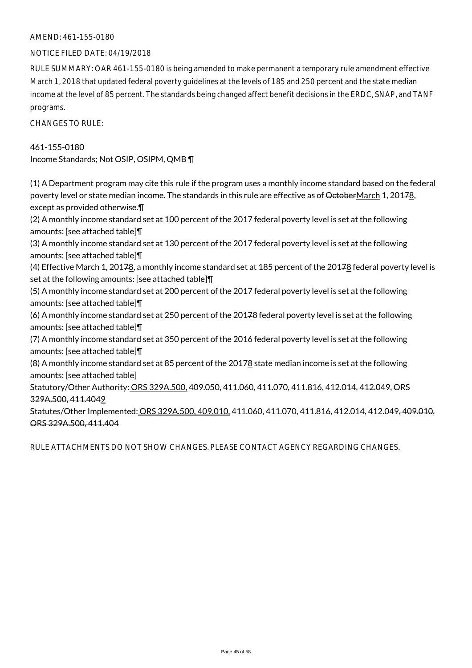### NOTICE FILED DATE: 04/19/2018

RULE SUMMARY: OAR 461-155-0180 is being amended to make permanent a temporary rule amendment effective March 1, 2018 that updated federal poverty guidelines at the levels of 185 and 250 percent and the state median income at the level of 85 percent. The standards being changed affect benefit decisions in the ERDC, SNAP, and TANF programs.

CHANGES TO RULE:

# 461-155-0180 Income Standards; Not OSIP, OSIPM, QMB ¶

(1) A Department program may cite this rule if the program uses a monthly income standard based on the federal poverty level or state median income. The standards in this rule are effective as of OctoberMarch 1, 20178, except as provided otherwise.¶

(2) A monthly income standard set at 100 percent of the 2017 federal poverty level is set at the following amounts: [see attached table]¶

(3) A monthly income standard set at 130 percent of the 2017 federal poverty level is set at the following amounts: [see attached table]¶

(4) Effective March 1, 20178, a monthly income standard set at 185 percent of the 20178 federal poverty level is set at the following amounts: [see attached table]¶

(5) A monthly income standard set at 200 percent of the 2017 federal poverty level is set at the following amounts: [see attached table]¶

(6) A monthly income standard set at 250 percent of the 20178 federal poverty level is set at the following amounts: [see attached table]¶

(7) A monthly income standard set at 350 percent of the 2016 federal poverty level is set at the following amounts: [see attached table]¶

(8) A monthly income standard set at 85 percent of the 2017 $\underline{8}$  state median income is set at the following amounts: [see attached table]

Statutory/Other Authority: ORS 329A.500, 409.050, 411.060, 411.070, 411.816, 412.014, 412.049, ORS 329A.500, 411.4049

Statutes/Other Implemented: ORS 329A.500, 409.010, 411.060, 411.070, 411.816, 412.014, 412.049<del>, 409.010,</del> ORS 329A.500, 411.404

RULE ATTACHMENTS DO NOT SHOW CHANGES. PLEASE CONTACT AGENCY REGARDING CHANGES.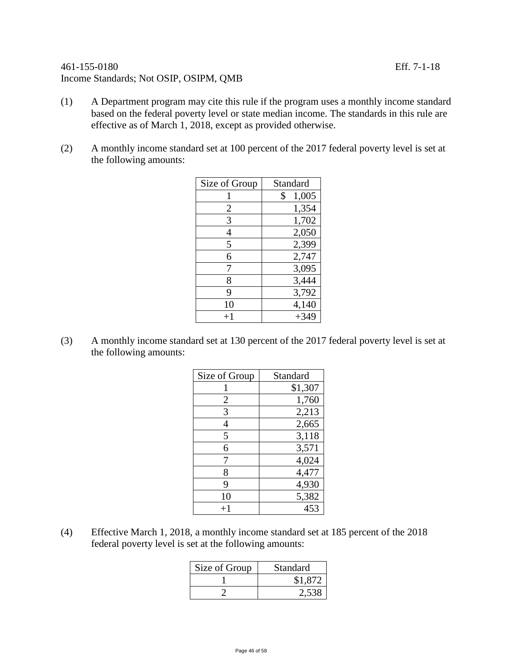## 461-155-0180 Eff. 7-1-18 Income Standards; Not OSIP, OSIPM, QMB

- (1) A Department program may cite this rule if the program uses a monthly income standard based on the federal poverty level or state median income. The standards in this rule are effective as of March 1, 2018, except as provided otherwise.
- (2) A monthly income standard set at 100 percent of the 2017 federal poverty level is set at the following amounts:

| Size of Group  | Standard    |
|----------------|-------------|
| 1              | \$<br>1,005 |
| $\overline{2}$ | 1,354       |
| 3              | 1,702       |
| 4              | 2,050       |
| 5              | 2,399       |
| 6              | 2,747       |
| 7              | 3,095       |
| 8              | 3,444       |
| 9              | 3,792       |
| 10             | 4,140       |
| $+1$           | $+349$      |

(3) A monthly income standard set at 130 percent of the 2017 federal poverty level is set at the following amounts:

| Size of Group | Standard |
|---------------|----------|
|               | \$1,307  |
| 2             | 1,760    |
| 3             | 2,213    |
| 4             | 2,665    |
| 5             | 3,118    |
| 6             | 3,571    |
| 7             | 4,024    |
| 8             | 4,477    |
| 9             | 4,930    |
| 10            | 5,382    |
| $+1$          | 453      |

(4) Effective March 1, 2018, a monthly income standard set at 185 percent of the 2018 federal poverty level is set at the following amounts:

| Size of Group | Standard |
|---------------|----------|
|               | \$1,872  |
|               | 2,538    |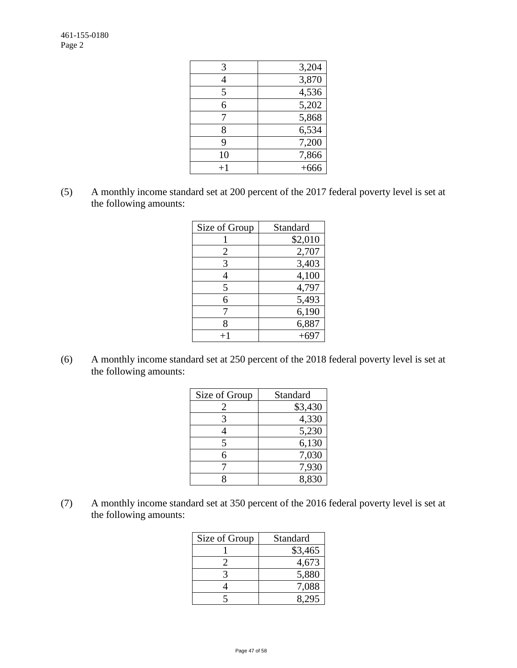| 3,204  |
|--------|
| 3,870  |
| 4,536  |
| 5,202  |
| 5,868  |
| 6,534  |
| 7,200  |
| 7,866  |
| $+666$ |
|        |

(5) A monthly income standard set at 200 percent of the 2017 federal poverty level is set at the following amounts:

| Size of Group | Standard |
|---------------|----------|
|               | \$2,010  |
| 2             | 2,707    |
| 3             | 3,403    |
| 4             | 4,100    |
| 5             | 4,797    |
| 6             | 5,493    |
|               | 6,190    |
| 8             | 6,887    |
|               | $+697$   |

(6) A monthly income standard set at 250 percent of the 2018 federal poverty level is set at the following amounts:

| Size of Group | Standard |
|---------------|----------|
| 2             | \$3,430  |
| 3             | 4,330    |
| 4             | 5,230    |
| 5             | 6,130    |
| 6             | 7,030    |
|               | 7,930    |
|               | 8.830    |

(7) A monthly income standard set at 350 percent of the 2016 federal poverty level is set at the following amounts:

| Size of Group | Standard |
|---------------|----------|
|               | \$3,465  |
|               | 4,673    |
|               | 5,880    |
|               | 7,088    |
|               | 8.295    |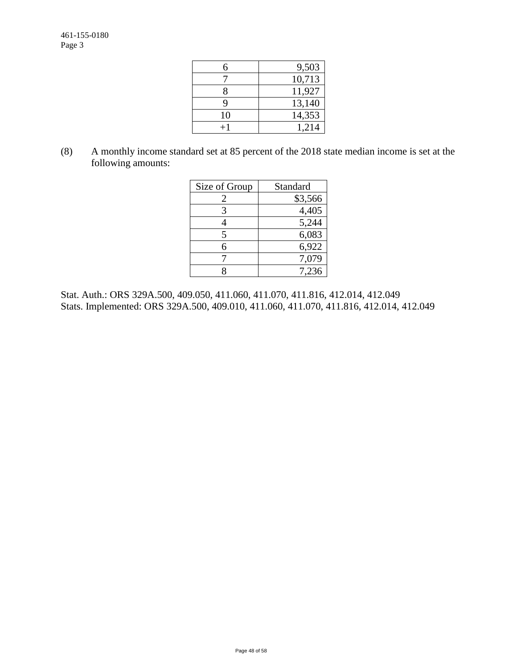| 6  | 9,503  |
|----|--------|
|    | 10,713 |
| 8  | 11,927 |
| Q  | 13,140 |
| 10 | 14,353 |
|    | 1,214  |

(8) A monthly income standard set at 85 percent of the 2018 state median income is set at the following amounts:

| Size of Group | Standard |
|---------------|----------|
| 2             | \$3,566  |
| 3             | 4,405    |
|               | 5,244    |
| 5             | 6,083    |
| б             | 6,922    |
|               | 7,079    |
|               | 7.236    |

Stat. Auth.: ORS 329A.500, 409.050, 411.060, 411.070, 411.816, 412.014, 412.049 Stats. Implemented: ORS 329A.500, 409.010, 411.060, 411.070, 411.816, 412.014, 412.049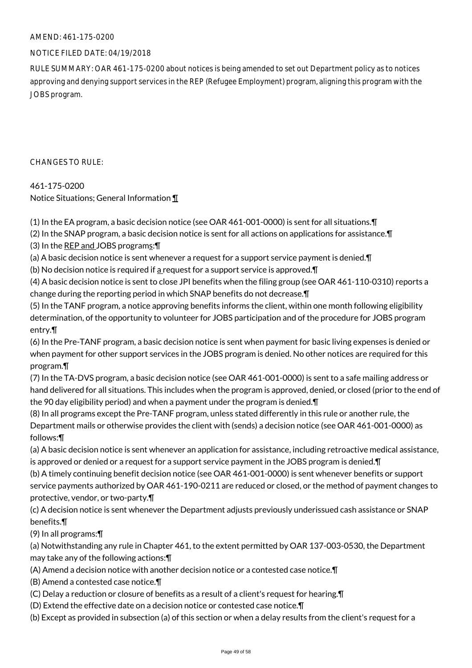### NOTICE FILED DATE: 04/19/2018

RULE SUMMARY: OAR 461-175-0200 about notices is being amended to set out Department policy as to notices approving and denying support services in the REP (Refugee Employment) program, aligning this program with the JOBS program.

CHANGES TO RULE:

### 461-175-0200

Notice Situations; General Information ¶

(1) In the EA program, a basic decision notice (see OAR 461-001-0000) is sent for all situations.¶

(2) In the SNAP program, a basic decision notice is sent for all actions on applications for assistance.¶ (3) In the REP and JOBS programs:¶

(a) A basic decision notice is sent whenever a request for a support service payment is denied.¶

(b) No decision notice is required if  $a$  request for a support service is approved. $\P$ 

(4) A basic decision notice is sent to close JPI benefits when the filing group (see OAR 461-110-0310) reports a change during the reporting period in which SNAP benefits do not decrease.¶

(5) In the TANF program, a notice approving benefits informs the client, within one month following eligibility determination, of the opportunity to volunteer for JOBS participation and of the procedure for JOBS program entry.¶

(6) In the Pre-TANF program, a basic decision notice is sent when payment for basic living expenses is denied or when payment for other support services in the JOBS program is denied. No other notices are required for this program.¶

(7) In the TA-DVS program, a basic decision notice (see OAR 461-001-0000) is sent to a safe mailing address or hand delivered for all situations. This includes when the program is approved, denied, or closed (prior to the end of the 90 day eligibility period) and when a payment under the program is denied.¶

(8) In all programs except the Pre-TANF program, unless stated differently in this rule or another rule, the Department mails or otherwise provides the client with (sends) a decision notice (see OAR 461-001-0000) as follows:¶

(a) A basic decision notice is sent whenever an application for assistance, including retroactive medical assistance, is approved or denied or a request for a support service payment in the JOBS program is denied.¶

(b) A timely continuing benefit decision notice (see OAR 461-001-0000) is sent whenever benefits or support service payments authorized by OAR 461-190-0211 are reduced or closed, or the method of payment changes to protective, vendor, or two-party.¶

(c) A decision notice is sent whenever the Department adjusts previously underissued cash assistance or SNAP benefits.¶

(9) In all programs:¶

(a) Notwithstanding any rule in Chapter 461, to the extent permitted by OAR 137-003-0530, the Department may take any of the following actions:¶

(A) Amend a decision notice with another decision notice or a contested case notice.¶

(B) Amend a contested case notice.¶

(C) Delay a reduction or closure of benefits as a result of a client's request for hearing.¶

(D) Extend the effective date on a decision notice or contested case notice.¶

(b) Except as provided in subsection (a) of this section or when a delay results from the client's request for a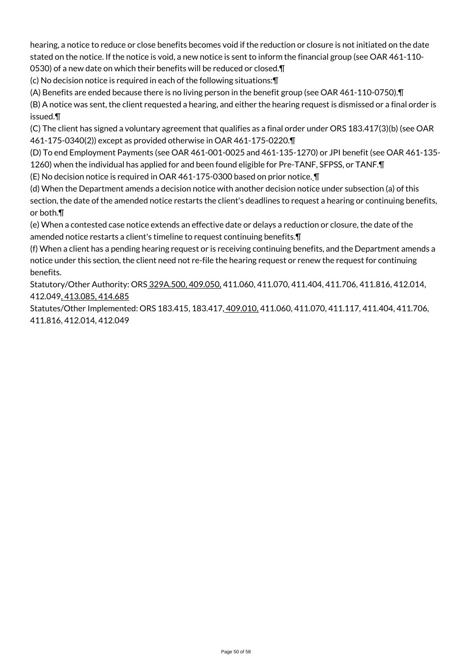hearing, a notice to reduce or close benefits becomes void if the reduction or closure is not initiated on the date stated on the notice. If the notice is void, a new notice is sent to inform the financial group (see OAR 461-110-

0530) of a new date on which their benefits will be reduced or closed.¶

(c) No decision notice is required in each of the following situations:¶

(A) Benefits are ended because there is no living person in the benefit group (see OAR 461-110-0750).¶

(B) A notice was sent, the client requested a hearing, and either the hearing request is dismissed or a final order is issued.¶

(C) The client has signed a voluntary agreement that qualifies as a final order under ORS 183.417(3)(b) (see OAR 461-175-0340(2)) except as provided otherwise in OAR 461-175-0220.¶

(D) To end Employment Payments (see OAR 461-001-0025 and 461-135-1270) or JPI benefit (see OAR 461-135- 1260) when the individual has applied for and been found eligible for Pre-TANF, SFPSS, or TANF.¶

(E) No decision notice is required in OAR 461-175-0300 based on prior notice. ¶

(d) When the Department amends a decision notice with another decision notice under subsection (a) of this section, the date of the amended notice restarts the client's deadlines to request a hearing or continuing benefits, or both.¶

(e) When a contested case notice extends an effective date or delays a reduction or closure, the date of the amended notice restarts a client's timeline to request continuing benefits.¶

(f) When a client has a pending hearing request or is receiving continuing benefits, and the Department amends a notice under this section, the client need not re-file the hearing request or renew the request for continuing benefits.

Statutory/Other Authority: ORS 329A.500, 409.050, 411.060, 411.070, 411.404, 411.706, 411.816, 412.014, 412.049, 413.085, 414.685

Statutes/Other Implemented: ORS 183.415, 183.417, 409.010, 411.060, 411.070, 411.117, 411.404, 411.706, 411.816, 412.014, 412.049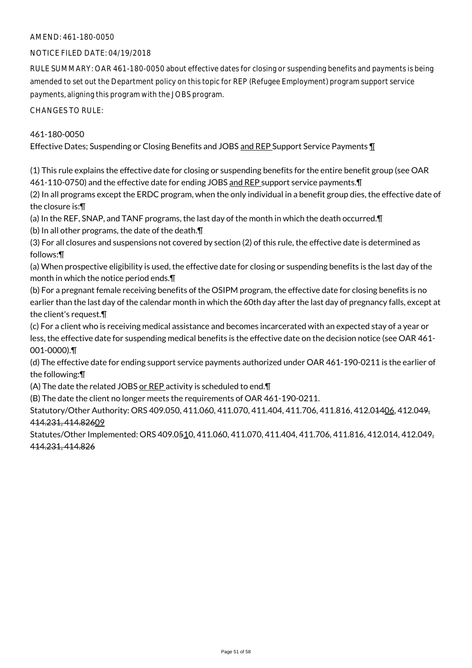### NOTICE FILED DATE: 04/19/2018

RULE SUMMARY: OAR 461-180-0050 about effective dates for closing or suspending benefits and payments is being amended to set out the Department policy on this topic for REP (Refugee Employment) program support service payments, aligning this program with the JOBS program.

CHANGES TO RULE:

### 461-180-0050

Effective Dates; Suspending or Closing Benefits and JOBS and REP Support Service Payments ¶

(1) This rule explains the effective date for closing or suspending benefits for the entire benefit group (see OAR 461-110-0750) and the effective date for ending JOBS and REP support service payments. T

(2) In all programs except the ERDC program, when the only individual in a benefit group dies, the effective date of the closure is:¶

(a) In the REF, SNAP, and TANF programs, the last day of the month in which the death occurred.¶

(b) In all other programs, the date of the death.¶

(3) For all closures and suspensions not covered by section (2) of this rule, the effective date is determined as follows:¶

(a) When prospective eligibility is used, the effective date for closing or suspending benefits is the last day of the month in which the notice period ends.¶

(b) For a pregnant female receiving benefits of the OSIPM program, the effective date for closing benefits is no earlier than the last day of the calendar month in which the 60th day after the last day of pregnancy falls, except at the client's request.¶

(c) For a client who is receiving medical assistance and becomes incarcerated with an expected stay of a year or less, the effective date for suspending medical benefits is the effective date on the decision notice (see OAR 461- 001-0000).¶

(d) The effective date for ending support service payments authorized under OAR 461-190-0211 is the earlier of the following:¶

(A) The date the related JOBS or REP activity is scheduled to end.¶

(B) The date the client no longer meets the requirements of OAR 461-190-0211.

Statutory/Other Authority: ORS 409.050, 411.060, 411.070, 411.404, 411.706, 411.816, 412.04406, 412.049, 414.231, 414.82609

Statutes/Other Implemented: ORS 409.0510, 411.060, 411.070, 411.404, 411.706, 411.816, 412.014, 412.049, 414.231, 414.826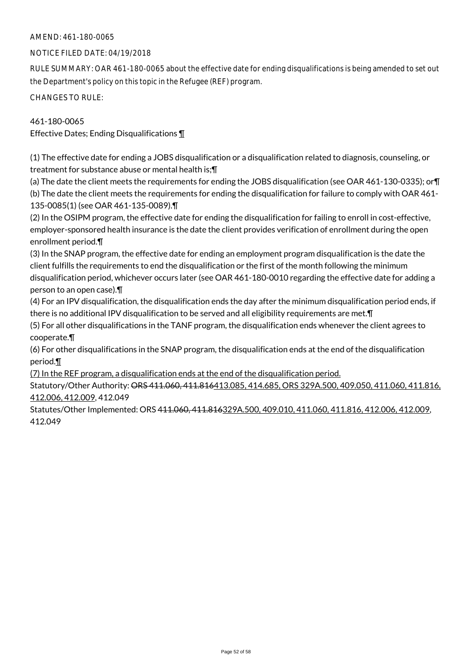### NOTICE FILED DATE: 04/19/2018

RULE SUMMARY: OAR 461-180-0065 about the effective date for ending disqualifications is being amended to set out the Department's policy on this topic in the Refugee (REF) program.

CHANGES TO RULE:

### 461-180-0065

Effective Dates; Ending Disqualifications ¶

(1) The effective date for ending a JOBS disqualification or a disqualification related to diagnosis, counseling, or treatment for substance abuse or mental health is;¶

(a) The date the client meets the requirements for ending the JOBS disqualification (see OAR 461-130-0335); or¶ (b) The date the client meets the requirements for ending the disqualification for failure to comply with OAR 461- 135-0085(1) (see OAR 461-135-0089).¶

(2) In the OSIPM program, the effective date for ending the disqualification for failing to enroll in cost-effective, employer-sponsored health insurance is the date the client provides verification of enrollment during the open enrollment period.¶

(3) In the SNAP program, the effective date for ending an employment program disqualification is the date the client fulfills the requirements to end the disqualification or the first of the month following the minimum disqualification period, whichever occurs later (see OAR 461-180-0010 regarding the effective date for adding a person to an open case).¶

(4) For an IPV disqualification, the disqualification ends the day after the minimum disqualification period ends, if there is no additional IPV disqualification to be served and all eligibility requirements are met.¶

(5) For all other disqualifications in the TANF program, the disqualification ends whenever the client agrees to cooperate.¶

(6) For other disqualifications in the SNAP program, the disqualification ends at the end of the disqualification period.¶

(7) In the REF program, a disqualification ends at the end of the disqualification period.

Statutory/Other Authority: ORS 411.060, 411.816413.085, 414.685, ORS 329A.500, 409.050, 411.060, 411.816, 412.006, 412.009, 412.049

Statutes/Other Implemented: ORS 411.060, 411.816329A.500, 409.010, 411.060, 411.816, 412.006, 412.009, 412.049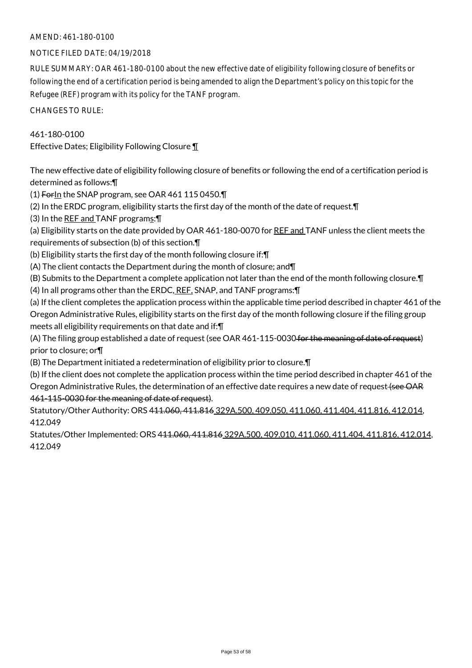### NOTICE FILED DATE: 04/19/2018

RULE SUMMARY: OAR 461-180-0100 about the new effective date of eligibility following closure of benefits or following the end of a certification period is being amended to align the Department's policy on this topic for the Refugee (REF) program with its policy for the TANF program.

CHANGES TO RULE:

### 461-180-0100

Effective Dates; Eligibility Following Closure ¶

The new effective date of eligibility following closure of benefits or following the end of a certification period is determined as follows:¶

(1) ForIn the SNAP program, see OAR 461 115 0450.

(2) In the ERDC program, eligibility starts the first day of the month of the date of request.¶

(3) In the REF and TANF programs:¶

(a) Eligibility starts on the date provided by OAR 461-180-0070 for REF and TANF unless the client meets the requirements of subsection (b) of this section.¶

(b) Eligibility starts the first day of the month following closure if:¶

(A) The client contacts the Department during the month of closure; and¶

(B) Submits to the Department a complete application not later than the end of the month following closure.¶ (4) In all programs other than the ERDC, REF, SNAP, and TANF programs: [

(a) If the client completes the application process within the applicable time period described in chapter 461 of the Oregon Administrative Rules, eligibility starts on the first day of the month following closure if the filing group meets all eligibility requirements on that date and if:¶

(A) The filing group established a date of request (see OAR 461-115-0030 for the meaning of date of request) prior to closure; or¶

(B) The Department initiated a redetermination of eligibility prior to closure.¶

(b) If the client does not complete the application process within the time period described in chapter 461 of the Oregon Administrative Rules, the determination of an effective date requires a new date of request (see OAR 461-115-0030 for the meaning of date of request).

Statutory/Other Authority: ORS 411.060, 411.816 329A.500, 409.050, 411.060, 411.404, 411.816, 412.014, 412.049

Statutes/Other Implemented: ORS 411.060, 411.816 329A.500, 409.010, 411.060, 411.404, 411.816, 412.014, 412.049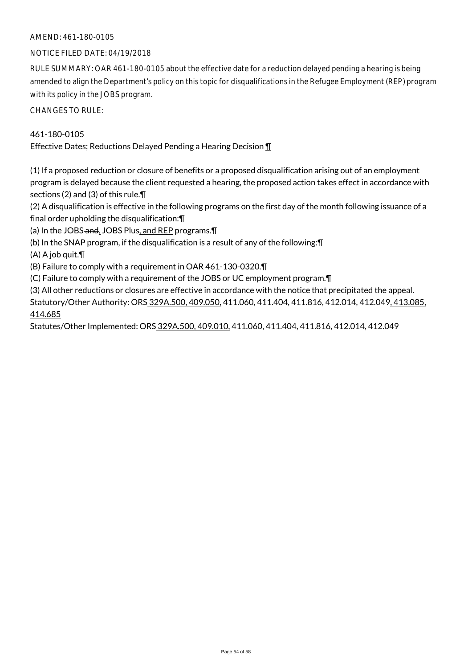### NOTICE FILED DATE: 04/19/2018

RULE SUMMARY: OAR 461-180-0105 about the effective date for a reduction delayed pending a hearing is being amended to align the Department's policy on this topic for disqualifications in the Refugee Employment (REP) program with its policy in the JOBS program.

CHANGES TO RULE:

### 461-180-0105

Effective Dates; Reductions Delayed Pending a Hearing Decision ¶

(1) If a proposed reduction or closure of benefits or a proposed disqualification arising out of an employment program is delayed because the client requested a hearing, the proposed action takes effect in accordance with sections (2) and (3) of this rule.¶

(2) A disqualification is effective in the following programs on the first day of the month following issuance of a final order upholding the disqualification:¶

(a) In the JOBS-and, JOBS Plus, and REP programs.

(b) In the SNAP program, if the disqualification is a result of any of the following:¶

(A) A job quit.¶

(B) Failure to comply with a requirement in OAR 461-130-0320.¶

(C) Failure to comply with a requirement of the JOBS or UC employment program.¶

(3) All other reductions or closures are effective in accordance with the notice that precipitated the appeal.

Statutory/Other Authority: ORS 329A.500, 409.050, 411.060, 411.404, 411.816, 412.014, 412.049, 413.085, 414.685

Statutes/Other Implemented: ORS 329A.500, 409.010, 411.060, 411.404, 411.816, 412.014, 412.049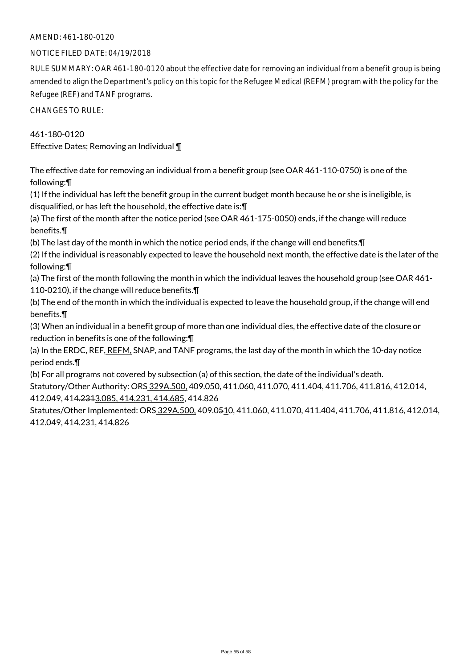### NOTICE FILED DATE: 04/19/2018

RULE SUMMARY: OAR 461-180-0120 about the effective date for removing an individual from a benefit group is being amended to align the Department's policy on this topic for the Refugee Medical (REFM) program with the policy for the Refugee (REF) and TANF programs.

CHANGES TO RULE:

### 461-180-0120

Effective Dates; Removing an Individual ¶

The effective date for removing an individual from a benefit group (see OAR 461-110-0750) is one of the following:¶

(1) If the individual has left the benefit group in the current budget month because he or she is ineligible, is disqualified, or has left the household, the effective date is:¶

(a) The first of the month after the notice period (see OAR 461-175-0050) ends, if the change will reduce benefits.¶

(b) The last day of the month in which the notice period ends, if the change will end benefits.¶

(2) If the individual is reasonably expected to leave the household next month, the effective date is the later of the following:¶

(a) The first of the month following the month in which the individual leaves the household group (see OAR 461- 110-0210), if the change will reduce benefits.¶

(b) The end of the month in which the individual is expected to leave the household group, if the change will end benefits.¶

(3) When an individual in a benefit group of more than one individual dies, the effective date of the closure or reduction in benefits is one of the following:¶

(a) In the ERDC, REF, REFM. SNAP, and TANF programs, the last day of the month in which the 10-day notice period ends.¶

(b) For all programs not covered by subsection (a) of this section, the date of the individual's death.

Statutory/Other Authority: ORS 329A.500, 409.050, 411.060, 411.070, 411.404, 411.706, 411.816, 412.014, 412.049, 414.2313.085, 414.231, 414.685, 414.826

Statutes/Other Implemented: ORS 329A.500, 409.0510, 411.060, 411.070, 411.404, 411.706, 411.816, 412.014, 412.049, 414.231, 414.826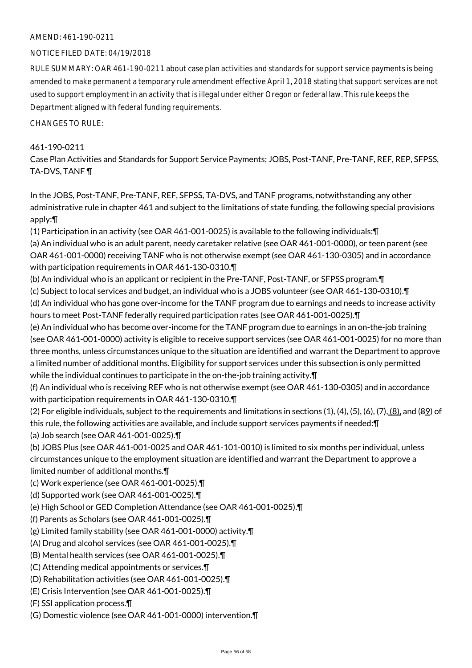### NOTICE FILED DATE: 04/19/2018

RULE SUMMARY: OAR 461-190-0211 about case plan activities and standards for support service payments is being amended to make permanent a temporary rule amendment effective April 1, 2018 stating that support services are not used to support employment in an activity that is illegal under either Oregon or federal law. This rule keeps the Department aligned with federal funding requirements.

CHANGES TO RULE:

### 461-190-0211

Case Plan Activities and Standards for Support Service Payments; JOBS, Post-TANF, Pre-TANF, REF, REP, SFPSS, TA-DVS, TANF ¶

In the JOBS, Post-TANF, Pre-TANF, REF, SFPSS, TA-DVS, and TANF programs, notwithstanding any other administrative rule in chapter 461 and subject to the limitations of state funding, the following special provisions apply:¶

(1) Participation in an activity (see OAR 461-001-0025) is available to the following individuals:¶ (a) An individual who is an adult parent, needy caretaker relative (see OAR 461-001-0000), or teen parent (see OAR 461-001-0000) receiving TANF who is not otherwise exempt (see OAR 461-130-0305) and in accordance

with participation requirements in OAR 461-130-0310.¶

(b) An individual who is an applicant or recipient in the Pre-TANF, Post-TANF, or SFPSS program.¶

(c) Subject to local services and budget, an individual who is a JOBS volunteer (see OAR 461-130-0310).¶

(d) An individual who has gone over-income for the TANF program due to earnings and needs to increase activity hours to meet Post-TANF federally required participation rates (see OAR 461-001-0025).¶

(e) An individual who has become over-income for the TANF program due to earnings in an on-the-job training (see OAR 461-001-0000) activity is eligible to receive support services (see OAR 461-001-0025) for no more than three months, unless circumstances unique to the situation are identified and warrant the Department to approve a limited number of additional months. Eligibility for support services under this subsection is only permitted while the individual continues to participate in the on-the-job training activity.¶

(f) An individual who is receiving REF who is not otherwise exempt (see OAR 461-130-0305) and in accordance with participation requirements in OAR 461-130-0310.¶

(2) For eligible individuals, subject to the requirements and limitations in sections (1), (4), (5), (6), (7), (8), and (89) of this rule, the following activities are available, and include support services payments if needed:¶ (a) Job search (see OAR 461-001-0025).¶

(b) JOBS Plus (see OAR 461-001-0025 and OAR 461-101-0010) is limited to six months per individual, unless circumstances unique to the employment situation are identified and warrant the Department to approve a limited number of additional months.¶

(c) Work experience (see OAR 461-001-0025).¶

(d) Supported work (see OAR 461-001-0025).¶

(e) High School or GED Completion Attendance (see OAR 461-001-0025).¶

(f) Parents as Scholars (see OAR 461-001-0025).¶

(g) Limited family stability (see OAR 461-001-0000) activity.¶

(A) Drug and alcohol services (see OAR 461-001-0025).¶

(B) Mental health services (see OAR 461-001-0025).¶

(C) Attending medical appointments or services.¶

(D) Rehabilitation activities (see OAR 461-001-0025).¶

(E) Crisis Intervention (see OAR 461-001-0025).¶

(F) SSI application process.¶

(G) Domestic violence (see OAR 461-001-0000) intervention.¶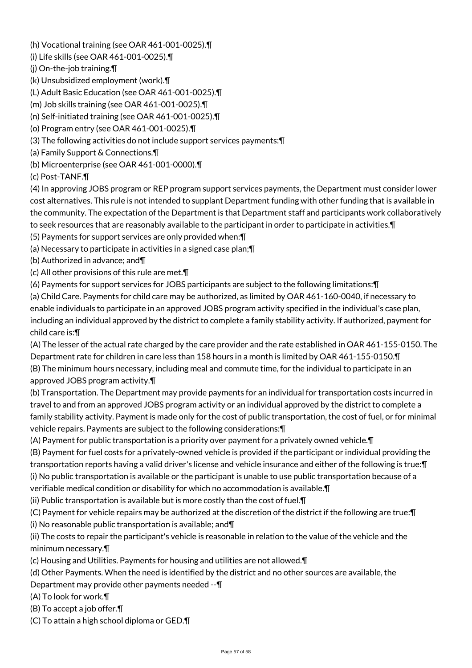(h) Vocational training (see OAR 461-001-0025).¶

(i) Life skills (see OAR 461-001-0025).¶

(j) On-the-job training.¶

(k) Unsubsidized employment (work).¶

(L) Adult Basic Education (see OAR 461-001-0025).¶

(m) Job skills training (see OAR 461-001-0025).¶

(n) Self-initiated training (see OAR 461-001-0025).¶

(o) Program entry (see OAR 461-001-0025).¶

(3) The following activities do not include support services payments:¶

(a) Family Support & Connections.¶

(b) Microenterprise (see OAR 461-001-0000).¶

(c) Post-TANF.¶

(4) In approving JOBS program or REP program support services payments, the Department must consider lower cost alternatives. This rule is not intended to supplant Department funding with other funding that is available in the community. The expectation of the Department is that Department staff and participants work collaboratively to seek resources that are reasonably available to the participant in order to participate in activities.¶

(5) Payments for support services are only provided when:¶

(a) Necessary to participate in activities in a signed case plan;¶

(b) Authorized in advance; and¶

(c) All other provisions of this rule are met.¶

(6) Payments for support services for JOBS participants are subject to the following limitations:¶

(a) Child Care. Payments for child care may be authorized, as limited by OAR 461-160-0040, if necessary to enable individuals to participate in an approved JOBS program activity specified in the individual's case plan, including an individual approved by the district to complete a family stability activity. If authorized, payment for child care is:¶

(A) The lesser of the actual rate charged by the care provider and the rate established in OAR 461-155-0150. The Department rate for children in care less than 158 hours in a month is limited by OAR 461-155-0150.¶ (B) The minimum hours necessary, including meal and commute time, for the individual to participate in an approved JOBS program activity.¶

(b) Transportation. The Department may provide payments for an individual for transportation costs incurred in travel to and from an approved JOBS program activity or an individual approved by the district to complete a family stability activity. Payment is made only for the cost of public transportation, the cost of fuel, or for minimal vehicle repairs. Payments are subject to the following considerations:¶

(A) Payment for public transportation is a priority over payment for a privately owned vehicle.¶

(B) Payment for fuel costs for a privately-owned vehicle is provided if the participant or individual providing the transportation reports having a valid driver's license and vehicle insurance and either of the following is true:¶ (i) No public transportation is available or the participant is unable to use public transportation because of a verifiable medical condition or disability for which no accommodation is available.¶

(ii) Public transportation is available but is more costly than the cost of fuel.¶

(C) Payment for vehicle repairs may be authorized at the discretion of the district if the following are true:¶ (i) No reasonable public transportation is available; and¶

(ii) The costs to repair the participant's vehicle is reasonable in relation to the value of the vehicle and the minimum necessary.¶

(c) Housing and Utilities. Payments for housing and utilities are not allowed.¶

(d) Other Payments. When the need is identified by the district and no other sources are available, the

Department may provide other payments needed --¶

(A) To look for work.¶

(B) To accept a job offer.¶

(C) To attain a high school diploma or GED.¶